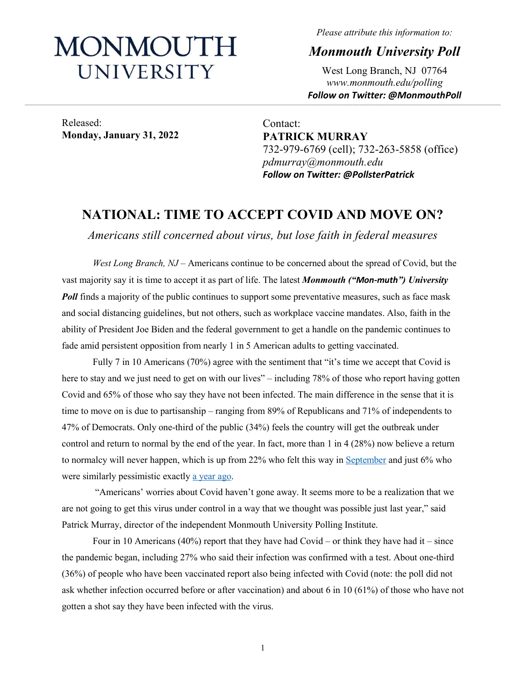# MONMOUTH UNIVERSITY

*Please attribute this information to:*

*Monmouth University Poll*

West Long Branch, NJ 07764 *www.monmouth.edu/polling Follow on Twitter: @MonmouthPoll*

Released: **Monday, January 31, 2022**

Contact: **PATRICK MURRAY** 732-979-6769 (cell); 732-263-5858 (office) *pdmurray@monmouth.edu Follow on Twitter: @PollsterPatrick*

## **NATIONAL: TIME TO ACCEPT COVID AND MOVE ON?**

*Americans still concerned about virus, but lose faith in federal measures*

*West Long Branch, NJ* – Americans continue to be concerned about the spread of Covid, but the vast majority say it is time to accept it as part of life. The latest *Monmouth ("Mon-muth") University Poll* finds a majority of the public continues to support some preventative measures, such as face mask and social distancing guidelines, but not others, such as workplace vaccine mandates. Also, faith in the ability of President Joe Biden and the federal government to get a handle on the pandemic continues to fade amid persistent opposition from nearly 1 in 5 American adults to getting vaccinated.

Fully 7 in 10 Americans (70%) agree with the sentiment that "it's time we accept that Covid is here to stay and we just need to get on with our lives" – including 78% of those who report having gotten Covid and 65% of those who say they have not been infected. The main difference in the sense that it is time to move on is due to partisanship – ranging from 89% of Republicans and 71% of independents to 47% of Democrats. Only one-third of the public (34%) feels the country will get the outbreak under control and return to normal by the end of the year. In fact, more than 1 in 4 (28%) now believe a return to normalcy will never happen, which is up from 22% who felt this way in [September](https://www.monmouth.edu/polling-institute/reports/monmouthpoll_us_091521/#Question28) and just 6% who were similarly pessimistic exactly [a year ago.](https://www.monmouth.edu/polling-institute/reports/monmouthpoll_us_020321/#Question30)

"Americans' worries about Covid haven't gone away. It seems more to be a realization that we are not going to get this virus under control in a way that we thought was possible just last year," said Patrick Murray, director of the independent Monmouth University Polling Institute.

Four in 10 Americans (40%) report that they have had Covid – or think they have had it – since the pandemic began, including 27% who said their infection was confirmed with a test. About one-third (36%) of people who have been vaccinated report also being infected with Covid (note: the poll did not ask whether infection occurred before or after vaccination) and about 6 in 10 (61%) of those who have not gotten a shot say they have been infected with the virus.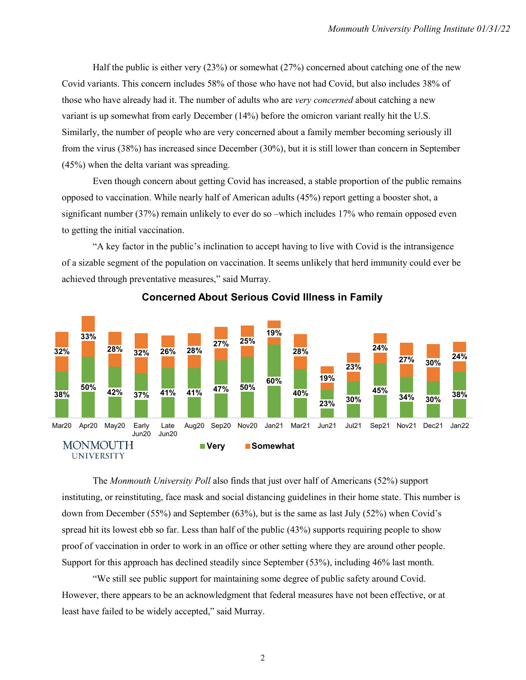Half the public is either very (23%) or somewhat (27%) concerned about catching one of the new Covid variants. This concern includes 58% of those who have not had Covid, but also includes 38% of those who have already had it. The number of adults who are *very concerned* about catching a new variant is up somewhat from early December (14%) before the omicron variant really hit the U.S. Similarly, the number of people who are very concerned about a family member becoming seriously ill from the virus (38%) has increased since December (30%), but it is still lower than concern in September (45%) when the delta variant was spreading.

Even though concern about getting Covid has increased, a stable proportion of the public remains opposed to vaccination. While nearly half of American adults (45%) report getting a booster shot, a significant number (37%) remain unlikely to ever do so –which includes 17% who remain opposed even to getting the initial vaccination.

"A key factor in the public's inclination to accept having to live with Covid is the intransigence of a sizable segment of the population on vaccination. It seems unlikely that herd immunity could ever be achieved through preventative measures," said Murray.



**Concerned About Serious Covid Illness in Family**

The *Monmouth University Poll* also finds that just over half of Americans (52%) support instituting, or reinstituting, face mask and social distancing guidelines in their home state. This number is down from December (55%) and September (63%), but is the same as last July (52%) when Covid's spread hit its lowest ebb so far. Less than half of the public (43%) supports requiring people to show proof of vaccination in order to work in an office or other setting where they are around other people. Support for this approach has declined steadily since September (53%), including 46% last month.

"We still see public support for maintaining some degree of public safety around Covid. However, there appears to be an acknowledgment that federal measures have not been effective, or at least have failed to be widely accepted," said Murray.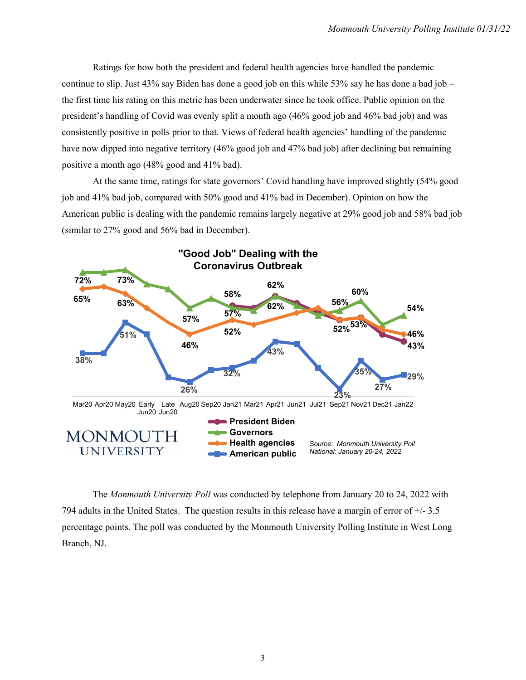Ratings for how both the president and federal health agencies have handled the pandemic continue to slip. Just  $43\%$  say Biden has done a good job on this while  $53\%$  say he has done a bad job – the first time his rating on this metric has been underwater since he took office. Public opinion on the president's handling of Covid was evenly split a month ago (46% good job and 46% bad job) and was consistently positive in polls prior to that. Views of federal health agencies' handling of the pandemic have now dipped into negative territory (46% good job and 47% bad job) after declining but remaining positive a month ago (48% good and 41% bad).

At the same time, ratings for state governors' Covid handling have improved slightly (54% good job and 41% bad job, compared with 50% good and 41% bad in December). Opinion on how the American public is dealing with the pandemic remains largely negative at 29% good job and 58% bad job (similar to 27% good and 56% bad in December).



The *Monmouth University Poll* was conducted by telephone from January 20 to 24, 2022 with 794 adults in the United States. The question results in this release have a margin of error of +/- 3.5 percentage points. The poll was conducted by the Monmouth University Polling Institute in West Long Branch, NJ.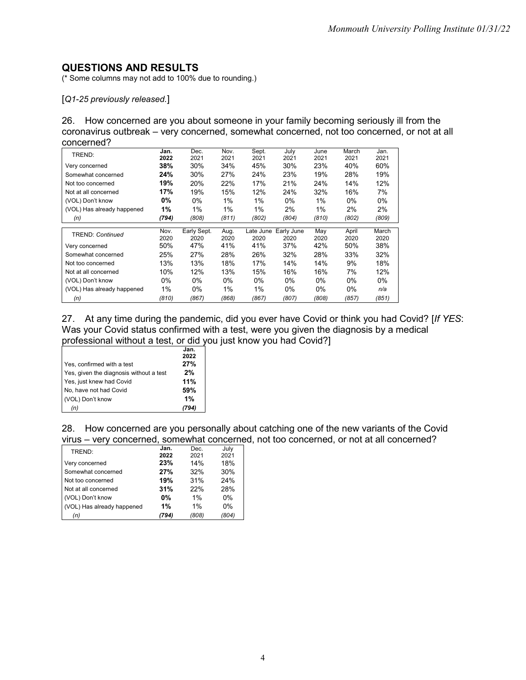### **QUESTIONS AND RESULTS**

(\* Some columns may not add to 100% due to rounding.)

[*Q1-25 previously released.*]

26. How concerned are you about someone in your family becoming seriously ill from the coronavirus outbreak – very concerned, somewhat concerned, not too concerned, or not at all concerned?

| TREND:                     | Jan.<br>2022 | Dec.<br>2021        | Nov.<br>2021 | Sept.<br>2021     | July<br>2021       | June<br>2021 | March<br>2021 | Jan.<br>2021  |
|----------------------------|--------------|---------------------|--------------|-------------------|--------------------|--------------|---------------|---------------|
| Very concerned             | 38%          | 30%                 | 34%          | 45%               | 30%                | 23%          | 40%           | 60%           |
| Somewhat concerned         | 24%          | 30%                 | 27%          | 24%               | 23%                | 19%          | 28%           | 19%           |
| Not too concerned          | 19%          | 20%                 | 22%          | 17%               | 21%                | 24%          | 14%           | 12%           |
| Not at all concerned       | 17%          | 19%                 | 15%          | 12%               | 24%                | 32%          | 16%           | 7%            |
| (VOL) Don't know           | $0\%$        | $0\%$               | $1\%$        | $1\%$             | $0\%$              | $1\%$        | $0\%$         | $0\%$         |
| (VOL) Has already happened | 1%           | 1%                  | $1\%$        | 1%                | 2%                 | 1%           | 2%            | 2%            |
| (n)                        | (794)        | (808)               | (811)        | (802)             | (804)              | (810)        | (802)         | (809)         |
| TREND: Continued           | Nov.<br>2020 | Early Sept.<br>2020 | Aug.<br>2020 | Late June<br>2020 | Early June<br>2020 | May<br>2020  | April<br>2020 | March<br>2020 |
| Very concerned             | 50%          | 47%                 | 41%          | 41%               | 37%                | 42%          | 50%           | 38%           |
| Somewhat concerned         | 25%          | 27%                 | 28%          | 26%               | 32%                | 28%          | 33%           | 32%           |
| Not too concerned          | 13%          | 13%                 | 18%          | 17%               | 14%                | 14%          | 9%            | 18%           |
| Not at all concerned       | 10%          | 12%                 | 13%          | 15%               | 16%                | 16%          | 7%            | 12%           |
|                            |              |                     |              |                   |                    |              |               |               |
| (VOL) Don't know           | $0\%$        | $0\%$               | 0%           | $0\%$             | $0\%$              | $0\%$        | $0\%$         | $0\%$         |
| (VOL) Has already happened | 1%           | $0\%$               | $1\%$        | 1%                | $0\%$              | $0\%$        | $0\%$         | n/a           |

27. At any time during the pandemic, did you ever have Covid or think you had Covid? [*If YES*: Was your Covid status confirmed with a test, were you given the diagnosis by a medical professional without a test, or did you just know you had Covid?]

|                                         | Jan. |
|-----------------------------------------|------|
|                                         | 2022 |
| Yes, confirmed with a test              | 27%  |
| Yes, given the diagnosis without a test | 2%   |
| Yes, just knew had Covid                | 11%  |
| No, have not had Covid                  | 59%  |
| (VOL) Don't know                        | 1%   |
| (n)                                     |      |

28. How concerned are you personally about catching one of the new variants of the Covid virus – very concerned, somewhat concerned, not too concerned, or not at all concerned?

| TREND:                     | Jan.  | Dec.  | July  |
|----------------------------|-------|-------|-------|
|                            | 2022  | 2021  | 2021  |
| Very concerned             | 23%   | 14%   | 18%   |
| Somewhat concerned         | 27%   | 32%   | 30%   |
| Not too concerned          | 19%   | 31%   | 24%   |
| Not at all concerned       | 31%   | 22%   | 28%   |
| (VOL) Don't know           | 0%    | $1\%$ | $0\%$ |
| (VOL) Has already happened | 1%    | 1%    | $0\%$ |
| (n)                        | (794) | (808) | (804) |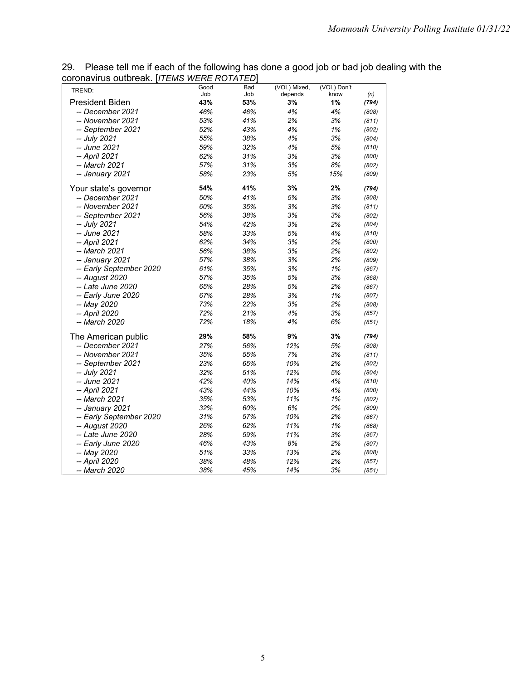29. Please tell me if each of the following has done a good job or bad job dealing with the coronavirus outbreak. [*ITEMS WERE ROTATED*]

| 43%<br>53%<br>3%<br>1%<br><b>President Biden</b><br>(794)<br>-- December 2021<br>46%<br>46%<br>4%<br>4%<br>(808)<br>-- November 2021<br>53%<br>41%<br>2%<br>3%<br>(811)<br>52%<br>43%<br>4%<br>1%<br>-- September 2021<br>(802)<br>55%<br>38%<br>4%<br>3%<br>-- July 2021<br>(804)<br>59%<br>32%<br>4%<br>5%<br>-- June 2021<br>(810)<br>-- April 2021<br>62%<br>31%<br>3%<br>3%<br>(800)<br>57%<br>31%<br>3%<br>8%<br>-- March 2021<br>(802)<br>58%<br>23%<br>5%<br>15%<br>-- January 2021<br>(809)<br>54%<br>41%<br>3%<br>2%<br>Your state's governor<br>(794)<br>50%<br>41%<br>5%<br>3%<br>-- December 2021<br>(808)<br>-- November 2021<br>60%<br>35%<br>3%<br>3%<br>(811)<br>56%<br>38%<br>3%<br>3%<br>-- September 2021<br>(802)<br>3%<br>2%<br>-- July 2021<br>54%<br>42%<br>(804)<br>58%<br>33%<br>5%<br>4%<br>-- June 2021<br>(810)<br>62%<br>34%<br>3%<br>2%<br>-- April 2021<br>(800)<br>56%<br>38%<br>3%<br>2%<br>-- March 2021<br>(802)<br>38%<br>3%<br>-- January 2021<br>57%<br>2%<br>(809)<br>61%<br>35%<br>3%<br>1%<br>-- Early September 2020<br>(867)<br>57%<br>35%<br>5%<br>3%<br>-- August 2020<br>(868)<br>28%<br>-- Late June 2020<br>65%<br>5%<br>2%<br>(867)<br>67%<br>28%<br>3%<br>1%<br>-- Early June 2020<br>(807)<br>73%<br>2%<br>22%<br>3%<br>-- May 2020<br>(808)<br>72%<br>21%<br>4%<br>3%<br>-- April 2020<br>(857)<br>72%<br>18%<br>-- March 2020<br>4%<br>6%<br>(851)<br>29%<br>58%<br>9%<br>3%<br>The American public<br>(794)<br>-- December 2021<br>27%<br>56%<br>12%<br>5%<br>(808)<br>35%<br>55%<br>7%<br>-- November 2021<br>3%<br>(811)<br>23%<br>65%<br>10%<br>-- September 2021<br>2%<br>(802)<br>32%<br>51%<br>12%<br>5%<br>-- July 2021<br>(804)<br>42%<br>40%<br>14%<br>-- June 2021<br>4%<br>(810)<br>-- April 2021<br>43%<br>44%<br>10%<br>4%<br>(800)<br>11%<br>-- March 2021<br>35%<br>53%<br>1%<br>(802)<br>32%<br>60%<br>6%<br>2%<br>-- January 2021<br>(809)<br>31%<br>57%<br>10%<br>2%<br>-- Early September 2020<br>(867)<br>26%<br>62%<br>11%<br>1%<br>-- August 2020<br>(868)<br>11%<br>3%<br>-- Late June 2020<br>28%<br>59%<br>(867)<br>46%<br>43%<br>8%<br>2%<br>-- Early June 2020<br>(807)<br>51%<br>33%<br>13%<br>2%<br>-- May 2020<br>(808)<br>12%<br>2%<br>-- April 2020<br>38%<br>48%<br>(857) | TREND: | Good | Bad | (VOL) Mixed, | (VOL) Don't |     |
|-------------------------------------------------------------------------------------------------------------------------------------------------------------------------------------------------------------------------------------------------------------------------------------------------------------------------------------------------------------------------------------------------------------------------------------------------------------------------------------------------------------------------------------------------------------------------------------------------------------------------------------------------------------------------------------------------------------------------------------------------------------------------------------------------------------------------------------------------------------------------------------------------------------------------------------------------------------------------------------------------------------------------------------------------------------------------------------------------------------------------------------------------------------------------------------------------------------------------------------------------------------------------------------------------------------------------------------------------------------------------------------------------------------------------------------------------------------------------------------------------------------------------------------------------------------------------------------------------------------------------------------------------------------------------------------------------------------------------------------------------------------------------------------------------------------------------------------------------------------------------------------------------------------------------------------------------------------------------------------------------------------------------------------------------------------------------------------------------------------------------------------------------------------------------------------------------------------------------------------------------------------------|--------|------|-----|--------------|-------------|-----|
|                                                                                                                                                                                                                                                                                                                                                                                                                                                                                                                                                                                                                                                                                                                                                                                                                                                                                                                                                                                                                                                                                                                                                                                                                                                                                                                                                                                                                                                                                                                                                                                                                                                                                                                                                                                                                                                                                                                                                                                                                                                                                                                                                                                                                                                                   |        | Job  | Job | depends      | know        | (n) |
|                                                                                                                                                                                                                                                                                                                                                                                                                                                                                                                                                                                                                                                                                                                                                                                                                                                                                                                                                                                                                                                                                                                                                                                                                                                                                                                                                                                                                                                                                                                                                                                                                                                                                                                                                                                                                                                                                                                                                                                                                                                                                                                                                                                                                                                                   |        |      |     |              |             |     |
|                                                                                                                                                                                                                                                                                                                                                                                                                                                                                                                                                                                                                                                                                                                                                                                                                                                                                                                                                                                                                                                                                                                                                                                                                                                                                                                                                                                                                                                                                                                                                                                                                                                                                                                                                                                                                                                                                                                                                                                                                                                                                                                                                                                                                                                                   |        |      |     |              |             |     |
|                                                                                                                                                                                                                                                                                                                                                                                                                                                                                                                                                                                                                                                                                                                                                                                                                                                                                                                                                                                                                                                                                                                                                                                                                                                                                                                                                                                                                                                                                                                                                                                                                                                                                                                                                                                                                                                                                                                                                                                                                                                                                                                                                                                                                                                                   |        |      |     |              |             |     |
|                                                                                                                                                                                                                                                                                                                                                                                                                                                                                                                                                                                                                                                                                                                                                                                                                                                                                                                                                                                                                                                                                                                                                                                                                                                                                                                                                                                                                                                                                                                                                                                                                                                                                                                                                                                                                                                                                                                                                                                                                                                                                                                                                                                                                                                                   |        |      |     |              |             |     |
|                                                                                                                                                                                                                                                                                                                                                                                                                                                                                                                                                                                                                                                                                                                                                                                                                                                                                                                                                                                                                                                                                                                                                                                                                                                                                                                                                                                                                                                                                                                                                                                                                                                                                                                                                                                                                                                                                                                                                                                                                                                                                                                                                                                                                                                                   |        |      |     |              |             |     |
|                                                                                                                                                                                                                                                                                                                                                                                                                                                                                                                                                                                                                                                                                                                                                                                                                                                                                                                                                                                                                                                                                                                                                                                                                                                                                                                                                                                                                                                                                                                                                                                                                                                                                                                                                                                                                                                                                                                                                                                                                                                                                                                                                                                                                                                                   |        |      |     |              |             |     |
|                                                                                                                                                                                                                                                                                                                                                                                                                                                                                                                                                                                                                                                                                                                                                                                                                                                                                                                                                                                                                                                                                                                                                                                                                                                                                                                                                                                                                                                                                                                                                                                                                                                                                                                                                                                                                                                                                                                                                                                                                                                                                                                                                                                                                                                                   |        |      |     |              |             |     |
|                                                                                                                                                                                                                                                                                                                                                                                                                                                                                                                                                                                                                                                                                                                                                                                                                                                                                                                                                                                                                                                                                                                                                                                                                                                                                                                                                                                                                                                                                                                                                                                                                                                                                                                                                                                                                                                                                                                                                                                                                                                                                                                                                                                                                                                                   |        |      |     |              |             |     |
|                                                                                                                                                                                                                                                                                                                                                                                                                                                                                                                                                                                                                                                                                                                                                                                                                                                                                                                                                                                                                                                                                                                                                                                                                                                                                                                                                                                                                                                                                                                                                                                                                                                                                                                                                                                                                                                                                                                                                                                                                                                                                                                                                                                                                                                                   |        |      |     |              |             |     |
|                                                                                                                                                                                                                                                                                                                                                                                                                                                                                                                                                                                                                                                                                                                                                                                                                                                                                                                                                                                                                                                                                                                                                                                                                                                                                                                                                                                                                                                                                                                                                                                                                                                                                                                                                                                                                                                                                                                                                                                                                                                                                                                                                                                                                                                                   |        |      |     |              |             |     |
|                                                                                                                                                                                                                                                                                                                                                                                                                                                                                                                                                                                                                                                                                                                                                                                                                                                                                                                                                                                                                                                                                                                                                                                                                                                                                                                                                                                                                                                                                                                                                                                                                                                                                                                                                                                                                                                                                                                                                                                                                                                                                                                                                                                                                                                                   |        |      |     |              |             |     |
|                                                                                                                                                                                                                                                                                                                                                                                                                                                                                                                                                                                                                                                                                                                                                                                                                                                                                                                                                                                                                                                                                                                                                                                                                                                                                                                                                                                                                                                                                                                                                                                                                                                                                                                                                                                                                                                                                                                                                                                                                                                                                                                                                                                                                                                                   |        |      |     |              |             |     |
|                                                                                                                                                                                                                                                                                                                                                                                                                                                                                                                                                                                                                                                                                                                                                                                                                                                                                                                                                                                                                                                                                                                                                                                                                                                                                                                                                                                                                                                                                                                                                                                                                                                                                                                                                                                                                                                                                                                                                                                                                                                                                                                                                                                                                                                                   |        |      |     |              |             |     |
|                                                                                                                                                                                                                                                                                                                                                                                                                                                                                                                                                                                                                                                                                                                                                                                                                                                                                                                                                                                                                                                                                                                                                                                                                                                                                                                                                                                                                                                                                                                                                                                                                                                                                                                                                                                                                                                                                                                                                                                                                                                                                                                                                                                                                                                                   |        |      |     |              |             |     |
|                                                                                                                                                                                                                                                                                                                                                                                                                                                                                                                                                                                                                                                                                                                                                                                                                                                                                                                                                                                                                                                                                                                                                                                                                                                                                                                                                                                                                                                                                                                                                                                                                                                                                                                                                                                                                                                                                                                                                                                                                                                                                                                                                                                                                                                                   |        |      |     |              |             |     |
|                                                                                                                                                                                                                                                                                                                                                                                                                                                                                                                                                                                                                                                                                                                                                                                                                                                                                                                                                                                                                                                                                                                                                                                                                                                                                                                                                                                                                                                                                                                                                                                                                                                                                                                                                                                                                                                                                                                                                                                                                                                                                                                                                                                                                                                                   |        |      |     |              |             |     |
|                                                                                                                                                                                                                                                                                                                                                                                                                                                                                                                                                                                                                                                                                                                                                                                                                                                                                                                                                                                                                                                                                                                                                                                                                                                                                                                                                                                                                                                                                                                                                                                                                                                                                                                                                                                                                                                                                                                                                                                                                                                                                                                                                                                                                                                                   |        |      |     |              |             |     |
|                                                                                                                                                                                                                                                                                                                                                                                                                                                                                                                                                                                                                                                                                                                                                                                                                                                                                                                                                                                                                                                                                                                                                                                                                                                                                                                                                                                                                                                                                                                                                                                                                                                                                                                                                                                                                                                                                                                                                                                                                                                                                                                                                                                                                                                                   |        |      |     |              |             |     |
|                                                                                                                                                                                                                                                                                                                                                                                                                                                                                                                                                                                                                                                                                                                                                                                                                                                                                                                                                                                                                                                                                                                                                                                                                                                                                                                                                                                                                                                                                                                                                                                                                                                                                                                                                                                                                                                                                                                                                                                                                                                                                                                                                                                                                                                                   |        |      |     |              |             |     |
|                                                                                                                                                                                                                                                                                                                                                                                                                                                                                                                                                                                                                                                                                                                                                                                                                                                                                                                                                                                                                                                                                                                                                                                                                                                                                                                                                                                                                                                                                                                                                                                                                                                                                                                                                                                                                                                                                                                                                                                                                                                                                                                                                                                                                                                                   |        |      |     |              |             |     |
|                                                                                                                                                                                                                                                                                                                                                                                                                                                                                                                                                                                                                                                                                                                                                                                                                                                                                                                                                                                                                                                                                                                                                                                                                                                                                                                                                                                                                                                                                                                                                                                                                                                                                                                                                                                                                                                                                                                                                                                                                                                                                                                                                                                                                                                                   |        |      |     |              |             |     |
|                                                                                                                                                                                                                                                                                                                                                                                                                                                                                                                                                                                                                                                                                                                                                                                                                                                                                                                                                                                                                                                                                                                                                                                                                                                                                                                                                                                                                                                                                                                                                                                                                                                                                                                                                                                                                                                                                                                                                                                                                                                                                                                                                                                                                                                                   |        |      |     |              |             |     |
|                                                                                                                                                                                                                                                                                                                                                                                                                                                                                                                                                                                                                                                                                                                                                                                                                                                                                                                                                                                                                                                                                                                                                                                                                                                                                                                                                                                                                                                                                                                                                                                                                                                                                                                                                                                                                                                                                                                                                                                                                                                                                                                                                                                                                                                                   |        |      |     |              |             |     |
|                                                                                                                                                                                                                                                                                                                                                                                                                                                                                                                                                                                                                                                                                                                                                                                                                                                                                                                                                                                                                                                                                                                                                                                                                                                                                                                                                                                                                                                                                                                                                                                                                                                                                                                                                                                                                                                                                                                                                                                                                                                                                                                                                                                                                                                                   |        |      |     |              |             |     |
|                                                                                                                                                                                                                                                                                                                                                                                                                                                                                                                                                                                                                                                                                                                                                                                                                                                                                                                                                                                                                                                                                                                                                                                                                                                                                                                                                                                                                                                                                                                                                                                                                                                                                                                                                                                                                                                                                                                                                                                                                                                                                                                                                                                                                                                                   |        |      |     |              |             |     |
|                                                                                                                                                                                                                                                                                                                                                                                                                                                                                                                                                                                                                                                                                                                                                                                                                                                                                                                                                                                                                                                                                                                                                                                                                                                                                                                                                                                                                                                                                                                                                                                                                                                                                                                                                                                                                                                                                                                                                                                                                                                                                                                                                                                                                                                                   |        |      |     |              |             |     |
|                                                                                                                                                                                                                                                                                                                                                                                                                                                                                                                                                                                                                                                                                                                                                                                                                                                                                                                                                                                                                                                                                                                                                                                                                                                                                                                                                                                                                                                                                                                                                                                                                                                                                                                                                                                                                                                                                                                                                                                                                                                                                                                                                                                                                                                                   |        |      |     |              |             |     |
|                                                                                                                                                                                                                                                                                                                                                                                                                                                                                                                                                                                                                                                                                                                                                                                                                                                                                                                                                                                                                                                                                                                                                                                                                                                                                                                                                                                                                                                                                                                                                                                                                                                                                                                                                                                                                                                                                                                                                                                                                                                                                                                                                                                                                                                                   |        |      |     |              |             |     |
|                                                                                                                                                                                                                                                                                                                                                                                                                                                                                                                                                                                                                                                                                                                                                                                                                                                                                                                                                                                                                                                                                                                                                                                                                                                                                                                                                                                                                                                                                                                                                                                                                                                                                                                                                                                                                                                                                                                                                                                                                                                                                                                                                                                                                                                                   |        |      |     |              |             |     |
|                                                                                                                                                                                                                                                                                                                                                                                                                                                                                                                                                                                                                                                                                                                                                                                                                                                                                                                                                                                                                                                                                                                                                                                                                                                                                                                                                                                                                                                                                                                                                                                                                                                                                                                                                                                                                                                                                                                                                                                                                                                                                                                                                                                                                                                                   |        |      |     |              |             |     |
|                                                                                                                                                                                                                                                                                                                                                                                                                                                                                                                                                                                                                                                                                                                                                                                                                                                                                                                                                                                                                                                                                                                                                                                                                                                                                                                                                                                                                                                                                                                                                                                                                                                                                                                                                                                                                                                                                                                                                                                                                                                                                                                                                                                                                                                                   |        |      |     |              |             |     |
|                                                                                                                                                                                                                                                                                                                                                                                                                                                                                                                                                                                                                                                                                                                                                                                                                                                                                                                                                                                                                                                                                                                                                                                                                                                                                                                                                                                                                                                                                                                                                                                                                                                                                                                                                                                                                                                                                                                                                                                                                                                                                                                                                                                                                                                                   |        |      |     |              |             |     |
|                                                                                                                                                                                                                                                                                                                                                                                                                                                                                                                                                                                                                                                                                                                                                                                                                                                                                                                                                                                                                                                                                                                                                                                                                                                                                                                                                                                                                                                                                                                                                                                                                                                                                                                                                                                                                                                                                                                                                                                                                                                                                                                                                                                                                                                                   |        |      |     |              |             |     |
|                                                                                                                                                                                                                                                                                                                                                                                                                                                                                                                                                                                                                                                                                                                                                                                                                                                                                                                                                                                                                                                                                                                                                                                                                                                                                                                                                                                                                                                                                                                                                                                                                                                                                                                                                                                                                                                                                                                                                                                                                                                                                                                                                                                                                                                                   |        |      |     |              |             |     |
|                                                                                                                                                                                                                                                                                                                                                                                                                                                                                                                                                                                                                                                                                                                                                                                                                                                                                                                                                                                                                                                                                                                                                                                                                                                                                                                                                                                                                                                                                                                                                                                                                                                                                                                                                                                                                                                                                                                                                                                                                                                                                                                                                                                                                                                                   |        |      |     |              |             |     |
|                                                                                                                                                                                                                                                                                                                                                                                                                                                                                                                                                                                                                                                                                                                                                                                                                                                                                                                                                                                                                                                                                                                                                                                                                                                                                                                                                                                                                                                                                                                                                                                                                                                                                                                                                                                                                                                                                                                                                                                                                                                                                                                                                                                                                                                                   |        |      |     |              |             |     |
|                                                                                                                                                                                                                                                                                                                                                                                                                                                                                                                                                                                                                                                                                                                                                                                                                                                                                                                                                                                                                                                                                                                                                                                                                                                                                                                                                                                                                                                                                                                                                                                                                                                                                                                                                                                                                                                                                                                                                                                                                                                                                                                                                                                                                                                                   |        |      |     |              |             |     |
|                                                                                                                                                                                                                                                                                                                                                                                                                                                                                                                                                                                                                                                                                                                                                                                                                                                                                                                                                                                                                                                                                                                                                                                                                                                                                                                                                                                                                                                                                                                                                                                                                                                                                                                                                                                                                                                                                                                                                                                                                                                                                                                                                                                                                                                                   |        |      |     |              |             |     |
|                                                                                                                                                                                                                                                                                                                                                                                                                                                                                                                                                                                                                                                                                                                                                                                                                                                                                                                                                                                                                                                                                                                                                                                                                                                                                                                                                                                                                                                                                                                                                                                                                                                                                                                                                                                                                                                                                                                                                                                                                                                                                                                                                                                                                                                                   |        |      |     |              |             |     |
|                                                                                                                                                                                                                                                                                                                                                                                                                                                                                                                                                                                                                                                                                                                                                                                                                                                                                                                                                                                                                                                                                                                                                                                                                                                                                                                                                                                                                                                                                                                                                                                                                                                                                                                                                                                                                                                                                                                                                                                                                                                                                                                                                                                                                                                                   |        |      |     |              |             |     |
|                                                                                                                                                                                                                                                                                                                                                                                                                                                                                                                                                                                                                                                                                                                                                                                                                                                                                                                                                                                                                                                                                                                                                                                                                                                                                                                                                                                                                                                                                                                                                                                                                                                                                                                                                                                                                                                                                                                                                                                                                                                                                                                                                                                                                                                                   |        |      |     |              |             |     |
| -- March 2020<br>38%<br>45%<br>14%<br>3%<br>(851)                                                                                                                                                                                                                                                                                                                                                                                                                                                                                                                                                                                                                                                                                                                                                                                                                                                                                                                                                                                                                                                                                                                                                                                                                                                                                                                                                                                                                                                                                                                                                                                                                                                                                                                                                                                                                                                                                                                                                                                                                                                                                                                                                                                                                 |        |      |     |              |             |     |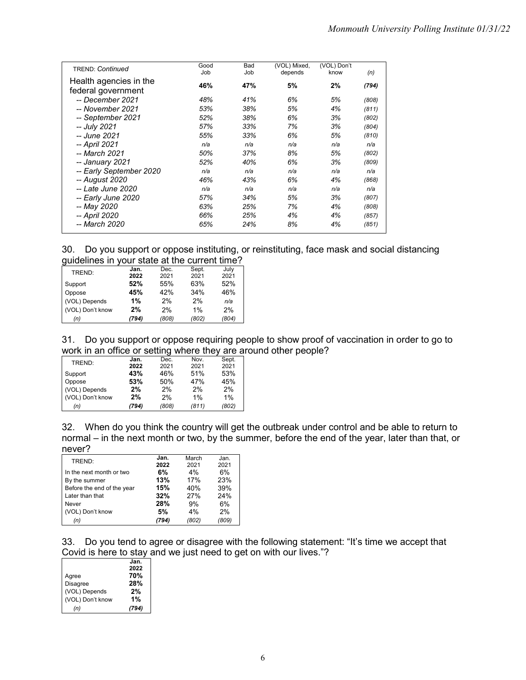| <b>TREND: Continued</b>                      | Good<br>Job | Bad<br>Job | (VOL) Mixed,<br>depends | (VOL) Don't<br>know | (n)   |
|----------------------------------------------|-------------|------------|-------------------------|---------------------|-------|
| Health agencies in the<br>federal government | 46%         | 47%        | 5%                      | 2%                  | (794) |
| -- December 2021                             | 48%         | 41%        | 6%                      | 5%                  | (808) |
| -- November 2021                             | 53%         | 38%        | 5%                      | 4%                  | (811) |
| -- September 2021                            | 52%         | 38%        | 6%                      | 3%                  | (802) |
| -- July 2021                                 | 57%         | 33%        | 7%                      | 3%                  | (804) |
| -- June 2021                                 | 55%         | 33%        | 6%                      | 5%                  | (810) |
| -- April 2021                                | n/a         | n/a        | n/a                     | n/a                 | n/a   |
| -- March 2021                                | 50%         | 37%        | 8%                      | 5%                  | (802) |
| -- January 2021                              | 52%         | 40%        | 6%                      | 3%                  | (809) |
| -- Early September 2020                      | n/a         | n/a        | n/a                     | n/a                 | n/a   |
| -- August 2020                               | 46%         | 43%        | 6%                      | 4%                  | (868) |
| -- Late June 2020                            | n/a         | n/a        | n/a                     | n/a                 | n/a   |
| -- Early June 2020                           | 57%         | 34%        | 5%                      | 3%                  | (807) |
| -- May 2020                                  | 63%         | 25%        | 7%                      | 4%                  | (808) |
| -- April 2020                                | 66%         | 25%        | 4%                      | 4%                  | (857) |
| -- March 2020                                | 65%         | 24%        | 8%                      | 4%                  | (851) |

|  | 30. Do you support or oppose instituting, or reinstituting, face mask and social distancing |  |  |  |
|--|---------------------------------------------------------------------------------------------|--|--|--|
|  | guidelines in your state at the current time?                                               |  |  |  |

| TREND:           | Jan.  | Dec.  | Sept. | July  |
|------------------|-------|-------|-------|-------|
|                  | 2022  | 2021  | 2021  | 2021  |
| Support          | 52%   | 55%   | 63%   | 52%   |
| Oppose           | 45%   | 42%   | 34%   | 46%   |
| (VOL) Depends    | 1%    | 2%    | 2%    | n/a   |
| (VOL) Don't know | 2%    | 2%    | 1%    | 2%    |
| (n)              | (794) | (808) | (802) | (804) |
|                  |       |       |       |       |

31. Do you support or oppose requiring people to show proof of vaccination in order to go to work in an office or setting where they are around other people?

|                  |       | -     |       |       |
|------------------|-------|-------|-------|-------|
| TREND:           | Jan.  | Dec.  | Nov.  | Sept. |
|                  | 2022  | 2021  | 2021  | 2021  |
| Support          | 43%   | 46%   | 51%   | 53%   |
| Oppose           | 53%   | 50%   | 47%   | 45%   |
| (VOL) Depends    | 2%    | 2%    | 2%    | 2%    |
| (VOL) Don't know | 2%    | 2%    | 1%    | 1%    |
| (n)              | (794) | (808) | (811) | (802) |

32. When do you think the country will get the outbreak under control and be able to return to normal – in the next month or two, by the summer, before the end of the year, later than that, or never?

| TREND:                     | Jan.  | March | Jan.  |
|----------------------------|-------|-------|-------|
|                            | 2022  | 2021  | 2021  |
| In the next month or two   | 6%    | 4%    | 6%    |
| By the summer              | 13%   | 17%   | 23%   |
| Before the end of the year | 15%   | 40%   | 39%   |
| Later than that            | 32%   | 27%   | 24%   |
| Never                      | 28%   | 9%    | 6%    |
| (VOL) Don't know           | 5%    | 4%    | 2%    |
| (n)                        | (794) | (802) | (809) |

33. Do you tend to agree or disagree with the following statement: "It's time we accept that Covid is here to stay and we just need to get on with our lives."?

|                  | Jan.  |
|------------------|-------|
|                  | 2022  |
| Agree            | 70%   |
| <b>Disagree</b>  | 28%   |
| (VOL) Depends    | 2%    |
| (VOL) Don't know | 1%    |
| (n)              | (794) |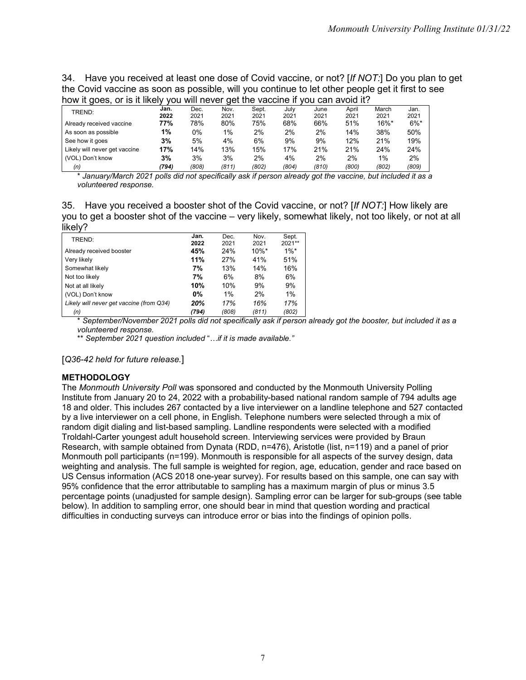34. Have you received at least one dose of Covid vaccine, or not? [*If NOT:*] Do you plan to get the Covid vaccine as soon as possible, will you continue to let other people get it first to see how it goes, or is it likely you will never get the vaccine if you can avoid it?

| HOW It good, or id it likely you will hover got the valuation you can avoid it: |       |       |       |       |       |       |       |                     |         |
|---------------------------------------------------------------------------------|-------|-------|-------|-------|-------|-------|-------|---------------------|---------|
| TREND:                                                                          | Jan.  | Dec.  | Nov.  | Sept. | Julv  | June  | April | March               | Jan.    |
|                                                                                 | 2022  | 2021  | 2021  | 2021  | 2021  | 2021  | 2021  | 2021                | 2021    |
| Already received vaccine                                                        | 77%   | 78%   | 80%   | 75%   | 68%   | 66%   | 51%   | $16\%$ <sup>*</sup> | $6\%$ * |
| As soon as possible                                                             | 1%    | 0%    | 1%    | 2%    | 2%    | 2%    | 14%   | 38%                 | 50%     |
| See how it goes                                                                 | 3%    | 5%    | 4%    | 6%    | 9%    | 9%    | 12%   | 21%                 | 19%     |
| Likely will never get vaccine                                                   | 17%   | 14%   | 13%   | 15%   | 17%   | 21%   | 21%   | 24%                 | 24%     |
| (VOL) Don't know                                                                | 3%    | 3%    | 3%    | 2%    | 4%    | 2%    | 2%    | 1%                  | 2%      |
| (n)                                                                             | (794) | (808) | (811) | (802) | (804) | (810) | (800) | (802)               | (809)   |

\* *January/March 2021 polls did not specifically ask if person already got the vaccine, but included it as a volunteered response.*

35. Have you received a booster shot of the Covid vaccine, or not? [*If NOT:*] How likely are you to get a booster shot of the vaccine – very likely, somewhat likely, not too likely, or not at all likely?

| -<br>TREND:                              | Jan.      | Dec.  | Nov.     | Sept.   |
|------------------------------------------|-----------|-------|----------|---------|
|                                          | 2022      | 2021  | 2021     | 2021**  |
| Already received booster                 | 45%       | 24%   | $10\%$ * | $1\%$ * |
| Very likely                              | 11%       | 27%   | 41%      | 51%     |
| Somewhat likely                          | 7%        | 13%   | 14%      | 16%     |
| Not too likely                           | 7%        | 6%    | 8%       | 6%      |
| Not at all likely                        | 10%       | 10%   | 9%       | 9%      |
| (VOL) Don't know                         | <b>0%</b> | $1\%$ | 2%       | 1%      |
| Likely will never get vaccine (from Q34) | 20%       | 17%   | 16%      | 17%     |
| (n)                                      | (794)     | (808) | (811)    | (802)   |

\* *September/November 2021 polls did not specifically ask if person already got the booster, but included it as a volunteered response.*

\*\* *September 2021 question included* "*…if it is made available."*

[*Q36-42 held for future release.*]

#### **METHODOLOGY**

The *Monmouth University Poll* was sponsored and conducted by the Monmouth University Polling Institute from January 20 to 24, 2022 with a probability-based national random sample of 794 adults age 18 and older. This includes 267 contacted by a live interviewer on a landline telephone and 527 contacted by a live interviewer on a cell phone, in English. Telephone numbers were selected through a mix of random digit dialing and list-based sampling. Landline respondents were selected with a modified Troldahl-Carter youngest adult household screen. Interviewing services were provided by Braun Research, with sample obtained from Dynata (RDD, n=476), Aristotle (list, n=119) and a panel of prior Monmouth poll participants (n=199). Monmouth is responsible for all aspects of the survey design, data weighting and analysis. The full sample is weighted for region, age, education, gender and race based on US Census information (ACS 2018 one-year survey). For results based on this sample, one can say with 95% confidence that the error attributable to sampling has a maximum margin of plus or minus 3.5 percentage points (unadjusted for sample design). Sampling error can be larger for sub-groups (see table below). In addition to sampling error, one should bear in mind that question wording and practical difficulties in conducting surveys can introduce error or bias into the findings of opinion polls.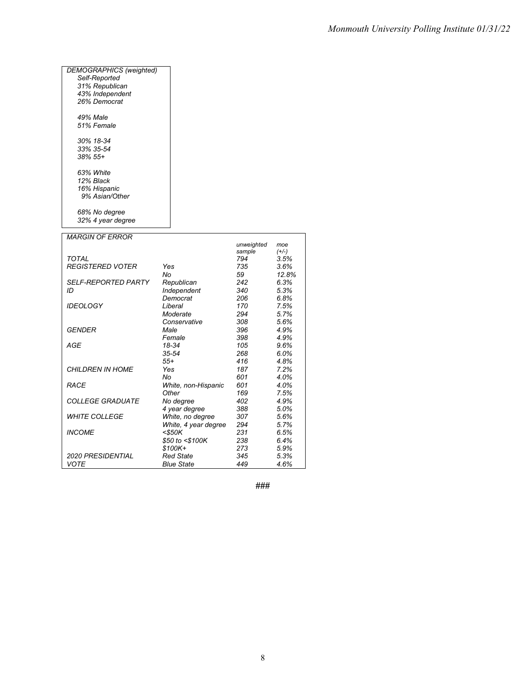| DEMOGRAPHICS (weighted) |     |
|-------------------------|-----|
| Self-Reported           |     |
| 31% Republican          |     |
| 43% Independent         |     |
| 26% Democrat            |     |
| 49% Male                |     |
| 51% Female              |     |
| 30% 18-34               |     |
| 33% 35-54               |     |
| 38% 55+                 |     |
| 63% White               |     |
| 12% Black               |     |
| 16% Hispanic            |     |
| 9% Asian/Other          |     |
| 68% No degree           |     |
| 32% 4 year degree       |     |
| <i>MARGIN OF FRROR</i>  |     |
|                         |     |
| TOTAL                   |     |
| <b>REGISTERED VOTER</b> | Yes |

|                            |                      | sample | (+/-) |
|----------------------------|----------------------|--------|-------|
| TOTAL                      |                      | 794    | 3.5%  |
| <b>REGISTERED VOTER</b>    | Yes                  | 735    | 3.6%  |
|                            | No                   | 59     | 12.8% |
| <b>SELF-REPORTED PARTY</b> | Republican           | 242    | 6.3%  |
| ID                         | Independent          | 340    | 5.3%  |
|                            | Democrat             | 206    | 6.8%  |
| <b>IDEOLOGY</b>            | Liberal              | 170    | 7.5%  |
|                            | Moderate             | 294    | 5.7%  |
|                            | Conservative         | 308    | 5.6%  |
| GENDER                     | Male                 | 396    | 4.9%  |
|                            | Female               | 398    | 4.9%  |
| <b>AGE</b>                 | 18-34                | 105    | 9.6%  |
|                            | $35 - 54$            | 268    | 6.0%  |
|                            | $55+$                | 416    | 4.8%  |
| <b>CHILDREN IN HOME</b>    | Yes                  | 187    | 7.2%  |
|                            | No                   | 601    | 4.0%  |
| <b>RACE</b>                | White, non-Hispanic  | 601    | 4.0%  |
|                            | Other                | 169    | 7.5%  |
| <b>COLLEGE GRADUATE</b>    | No degree            | 402    | 4.9%  |
|                            | 4 year degree        | 388    | 5.0%  |
| <b>WHITE COLLEGE</b>       | White, no degree     | 307    | 5.6%  |
|                            | White, 4 year degree | 294    | 5.7%  |
| <b>INCOME</b>              | $<$ \$50K            | 231    | 6.5%  |
|                            | \$50 to <\$100K      | 238    | 6.4%  |
|                            | $$100K+$             | 273    | 5.9%  |
| <b>2020 PRESIDENTIAL</b>   | <b>Red State</b>     | 345    | 5.3%  |
| VOTE                       | <b>Blue State</b>    | 449    | 4.6%  |

**###**

*unweighted moe*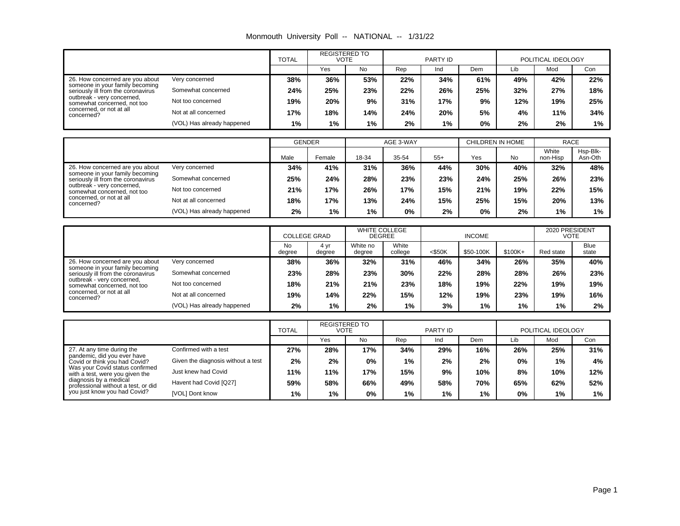| Monmouth University Poll -- NATIONAL -- |  |  | 1/31/22 |
|-----------------------------------------|--|--|---------|
|-----------------------------------------|--|--|---------|

|                                                                                             |                            | <b>TOTAL</b> | <b>REGISTERED TO</b><br><b>VOTE</b> |     |     | PARTY ID |       |     | POLITICAL IDEOLOGY |     |
|---------------------------------------------------------------------------------------------|----------------------------|--------------|-------------------------------------|-----|-----|----------|-------|-----|--------------------|-----|
|                                                                                             |                            |              | Yes                                 | No  | Rep | Ind      | Dem   | Lib | Mod                | Con |
| 26. How concerned are you about                                                             | Very concerned             | 38%          | 36%                                 | 53% | 22% | 34%      | 61%   | 49% | 42%                | 22% |
| someone in your family becoming<br>Somewhat concerned<br>seriously ill from the coronavirus | 24%                        | 25%          | 23%                                 | 22% | 26% | 25%      | 32%   | 27% | 18%                |     |
| outbreak - very concerned,<br>somewhat concerned, not too                                   | Not too concerned          | 19%          | 20%                                 | 9%  | 31% | 17%      | 9%    | 12% | 19%                | 25% |
| concerned, or not at all<br>concerned?                                                      | Not at all concerned       | 17%          | 18%                                 | 14% | 24% | 20%      | 5%    | 4%  | 11%                | 34% |
|                                                                                             | (VOL) Has already happened | $1\%$        | 1%                                  | 1%  | 2%  | 1%       | $0\%$ | 2%  | $2\%$              | 1%  |

|                                                                       |                            | <b>GENDER</b> |        |       | AGE 3-WAY |       | CHILDREN IN HOME |           | <b>RACE</b>       |                     |
|-----------------------------------------------------------------------|----------------------------|---------------|--------|-------|-----------|-------|------------------|-----------|-------------------|---------------------|
|                                                                       |                            | Male          | Female | 18-34 | 35-54     | $55+$ | Yes              | <b>No</b> | White<br>non-Hisp | Hsp-Blk-<br>Asn-Oth |
| 26. How concerned are you about                                       | Very concerned             | 34%           | 41%    | 31%   | 36%       | 44%   | 30%              | 40%       | 32%               | 48%                 |
| someone in your family becoming<br>seriously ill from the coronavirus | Somewhat concerned         | 25%           | 24%    | 28%   | 23%       | 23%   | 24%              | 25%       | 26%               | 23%                 |
| outbreak - very concerned,<br>somewhat concerned, not too             | Not too concerned          | 21%           | 17%    | 26%   | 17%       | 15%   | 21%              | 19%       | 22%               | 15%                 |
| concerned, or not at all<br>concerned?                                | Not at all concerned       | 18%           | 17%    | 13%   | 24%       | 15%   | 25%              | 15%       | 20%               | 13%                 |
|                                                                       | (VOL) Has already happened | 2%            | 1%     | 1%    | 0%        | 2%    | $0\%$            | 2%        | 1%                | 1%                  |

|                                                                       |                            |                     | <b>COLLEGE GRAD</b> |                    | <b>WHITE COLLEGE</b><br>DEGREE |           | <b>INCOME</b> |          |           | 2020 PRESIDENT<br>VOTE |
|-----------------------------------------------------------------------|----------------------------|---------------------|---------------------|--------------------|--------------------------------|-----------|---------------|----------|-----------|------------------------|
|                                                                       |                            | <b>No</b><br>degree | 4 vr<br>degree      | White no<br>degree | White<br>college               | $<$ \$50K | \$50-100K     | $$100K+$ | Red state | <b>Blue</b><br>state   |
| 26. How concerned are you about                                       | Very concerned             | 38%                 | 36%                 | 32%                | 31%                            | 46%       | 34%           | 26%      | 35%       | 40%                    |
| someone in your family becoming<br>seriously ill from the coronavirus | Somewhat concerned         | 23%                 | 28%                 | 23%                | 30%                            | 22%       | 28%           | 28%      | 26%       | 23%                    |
| outbreak - very concerned,<br>somewhat concerned, not too             | Not too concerned          | 18%                 | 21%                 | 21%                | 23%                            | 18%       | 19%           | 22%      | 19%       | 19%                    |
| concerned, or not at all<br>concerned?                                | Not at all concerned       | 19%                 | 14%                 | 22%                | 15%                            | 12%       | 19%           | 23%      | 19%       | 16%                    |
|                                                                       | (VOL) Has already happened | 2%                  | 1%                  | 2%                 | 1%                             | 3%        | 1%            | 1%       | 1%        | 2%                     |

|                                                                                                    |                        | <b>TOTAL</b> | <b>REGISTERED TO</b><br>VOTE |       |       | PARTY ID |       |     | POLITICAL IDEOLOGY |     |
|----------------------------------------------------------------------------------------------------|------------------------|--------------|------------------------------|-------|-------|----------|-------|-----|--------------------|-----|
|                                                                                                    |                        |              | Yes                          | No    | Rep   | Ind      | Dem   | Lib | Mod                | Con |
| 27. At any time during the                                                                         | Confirmed with a test  | 27%          | 28%                          | 17%   | 34%   | 29%      | 16%   | 26% | 25%                | 31% |
| pandemic, did you ever have<br>Given the diagnosis without a test<br>Covid or think you had Covid? | 2%                     | 2%           | 0%                           | $1\%$ | 2%    | 2%       | 0%    | 1%  | 4%                 |     |
| Was your Covid status confirmed<br>with a test, were you given the                                 | Just knew had Covid    | 11%          | 11%                          | 17%   | 15%   | 9%       | 10%   | 8%  | 10%                | 12% |
| diagnosis by a medical<br>professional without a test, or did                                      | Havent had Covid [Q27] | 59%          | 58%                          | 66%   | 49%   | 58%      | 70%   | 65% | 62%                | 52% |
| you just know you had Covid?                                                                       | [VOL] Dont know        | 1%           | $1\%$                        | 0%    | $1\%$ | 1%       | $1\%$ | 0%  | 1%                 | 1%  |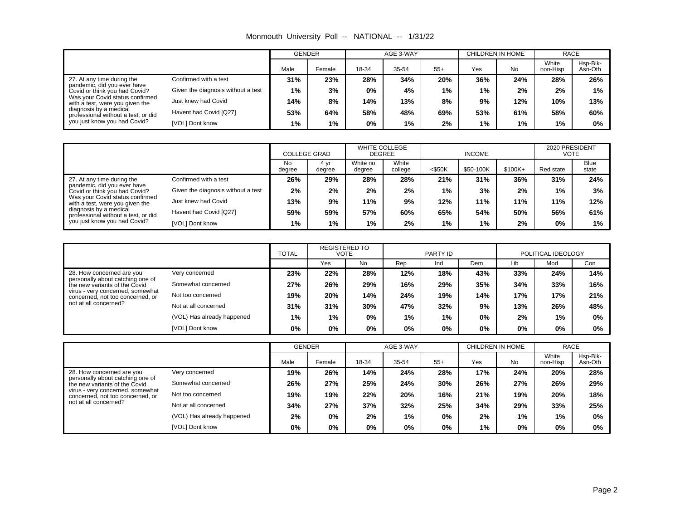|  |  |  | Monmouth University Poll -- NATIONAL -- | 1/31/22 |
|--|--|--|-----------------------------------------|---------|
|--|--|--|-----------------------------------------|---------|

|                                                                                                    |                        | <b>GENDER</b> |        | AGE 3-WAY |       |       | CHILDREN IN HOME |           | <b>RACE</b>       |                     |
|----------------------------------------------------------------------------------------------------|------------------------|---------------|--------|-----------|-------|-------|------------------|-----------|-------------------|---------------------|
|                                                                                                    |                        | Male          | Female | 18-34     | 35-54 | $55+$ | Yes              | <b>No</b> | White<br>non-Hisp | Hsp-Blk-<br>Asn-Oth |
| 27. At any time during the                                                                         | Confirmed with a test  | 31%           | 23%    | 28%       | 34%   | 20%   | 36%              | 24%       | 28%               | 26%                 |
| pandemic, did you ever have<br>Given the diagnosis without a test<br>Covid or think you had Covid? | 1%                     | 3%            | 0%     | 4%        | $1\%$ | 1%    | 2%               | 2%        | 1%                |                     |
| Was your Covid status confirmed<br>with a test, were you given the                                 | Just knew had Covid    | 14%           | 8%     | 14%       | 13%   | 8%    | 9%               | 12%       | 10%               | 13%                 |
| diagnosis by a medical<br>professional without a test, or did                                      | Havent had Covid [Q27] | 53%           | 64%    | 58%       | 48%   | 69%   | 53%              | 61%       | 58%               | 60%                 |
| you just know you had Covid?                                                                       | [VOL] Dont know        | 1%            | 1%     | 0%        | 1%    | 2%    | $1\%$            | 1%        | 1%                | 0%                  |

|                                                                    |                                    | <b>COLLEGE GRAD</b> |                | <b>WHITE COLLEGE</b><br>DEGREE |                  |           | <b>INCOME</b> | 2020 PRESIDENT<br>VOTE |           |                      |
|--------------------------------------------------------------------|------------------------------------|---------------------|----------------|--------------------------------|------------------|-----------|---------------|------------------------|-----------|----------------------|
|                                                                    |                                    | <b>No</b><br>degree | 4 vr<br>degree | White no<br>degree             | White<br>college | $<$ \$50K | \$50-100K     | $$100K +$              | Red state | <b>Blue</b><br>state |
| 27. At any time during the                                         | Confirmed with a test              | 26%                 | 29%            | 28%                            | 28%              | 21%       | 31%           | 36%                    | 31%       | 24%                  |
| pandemic, did you ever have<br>Covid or think vou had Covid?       | Given the diagnosis without a test | 2%                  | 2%             | 2%                             | 2%               | 1%        | 3%            | 2%                     | 1%        | 3%                   |
| Was your Covid status confirmed<br>with a test, were you given the | Just knew had Covid                | 13%                 | 9%             | 11%                            | 9%               | 12%       | 11%           | 11%                    | 11%       | 12%                  |
| diagnosis by a medical<br>professional without a test, or did      | Havent had Covid [Q27]             | 59%                 | 59%            | 57%                            | 60%              | 65%       | 54%           | 50%                    | 56%       | 61%                  |
| you just know you had Covid?                                       | [VOL] Dont know                    | 1%                  | $1\%$          | $1\%$                          | 2%               | $1\%$     | 1%            | 2%                     | 0%        | 1%                   |

|                                                                                                                                                                                      |                            | <b>TOTAL</b> | <b>REGISTERED TO</b><br>VOTE |           |     | PARTY ID |       |       | POLITICAL IDEOLOGY |       |
|--------------------------------------------------------------------------------------------------------------------------------------------------------------------------------------|----------------------------|--------------|------------------------------|-----------|-----|----------|-------|-------|--------------------|-------|
|                                                                                                                                                                                      |                            |              | Yes                          | <b>No</b> | Rep | Ind      | Dem   | Lib   | Mod                | Con   |
| 28. How concerned are you                                                                                                                                                            | Very concerned             | 23%          | 22%                          | 28%       | 12% | 18%      | 43%   | 33%   | 24%                | 14%   |
| personally about catching one of<br>Somewhat concerned<br>the new variants of the Covid<br>virus - very concerned, somewhat<br>Not too concerned<br>concerned, not too concerned, or |                            | 27%          | 26%                          | 29%       | 16% | 29%      | 35%   | 34%   | 33%                | 16%   |
|                                                                                                                                                                                      |                            | 19%          | 20%                          | 14%       | 24% | 19%      | 14%   | 17%   | 17%                | 21%   |
| not at all concerned?                                                                                                                                                                | Not at all concerned       | 31%          | 31%                          | 30%       | 47% | 32%      | 9%    | 13%   | 26%                | 48%   |
|                                                                                                                                                                                      | (VOL) Has already happened | 1%           | $1\%$                        | 0%        | 1%  | 1%       | $0\%$ | 2%    | $1\%$              | $0\%$ |
|                                                                                                                                                                                      | [VOL] Dont know            | 0%           | 0%                           | $0\%$     | 0%  | 0%       | $0\%$ | $0\%$ | 0%                 | 0%    |

|                                                                                                                                                                                      |                            | <b>GENDER</b> |        |       | AGE 3-WAY |       | CHILDREN IN HOME |           | RACE              |                     |
|--------------------------------------------------------------------------------------------------------------------------------------------------------------------------------------|----------------------------|---------------|--------|-------|-----------|-------|------------------|-----------|-------------------|---------------------|
|                                                                                                                                                                                      |                            | Male          | Female | 18-34 | 35-54     | $55+$ | Yes              | <b>No</b> | White<br>non-Hisp | Hsp-Blk-<br>Asn-Oth |
| 28. How concerned are you                                                                                                                                                            | Very concerned             | 19%           | 26%    | 14%   | 24%       | 28%   | 17%              | 24%       | 20%               | 28%                 |
| personally about catching one of<br>Somewhat concerned<br>the new variants of the Covid<br>virus - very concerned, somewhat<br>Not too concerned<br>concerned, not too concerned, or |                            | 26%           | 27%    | 25%   | 24%       | 30%   | 26%              | 27%       | 26%               | 29%                 |
|                                                                                                                                                                                      |                            | 19%           | 19%    | 22%   | 20%       | 16%   | 21%              | 19%       | 20%               | 18%                 |
| not at all concerned?                                                                                                                                                                | Not at all concerned       | 34%           | 27%    | 37%   | 32%       | 25%   | 34%              | 29%       | 33%               | 25%                 |
|                                                                                                                                                                                      | (VOL) Has already happened | 2%            | 0%     | 2%    | 1%        | 0%    | 2%               | 1%        | $1\%$             | 0%                  |
|                                                                                                                                                                                      | [VOL] Dont know            | 0%            | 0%     | 0%    | 0%        | 0%    | $1\%$            | 0%        | 0%                | 0%                  |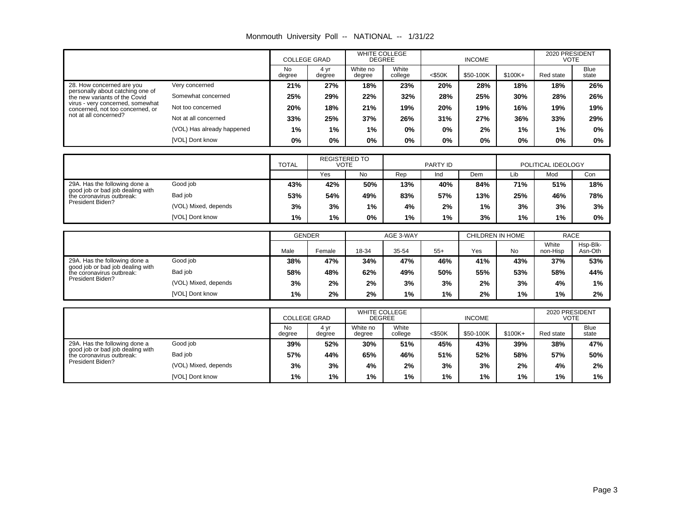|                                                                      |                            | <b>COLLEGE GRAD</b> |                                     | <b>DEGREE</b>      | <b>WHITE COLLEGE</b> |           | <b>INCOME</b>    |          | 2020 PRESIDENT<br><b>VOTE</b> |               |
|----------------------------------------------------------------------|----------------------------|---------------------|-------------------------------------|--------------------|----------------------|-----------|------------------|----------|-------------------------------|---------------|
|                                                                      |                            | No.<br>degree       | 4 yr<br>degree                      | White no<br>degree | White<br>college     | $<$ \$50K | \$50-100K        | $$100K+$ | Red state                     | Blue<br>state |
| 28. How concerned are you                                            | Very concerned             | 21%                 | 27%                                 | 18%                | 23%                  | 20%       | 28%              | 18%      | 18%                           | 26%           |
| personally about catching one of<br>the new variants of the Covid    | Somewhat concerned         | 25%                 | 29%                                 | 22%                | 32%                  | 28%       | 25%              | 30%      | 28%                           | 26%           |
| virus - very concerned, somewhat<br>concerned, not too concerned, or | Not too concerned          | 20%                 | 18%                                 | 21%                | 19%                  | 20%       | 19%              | 16%      | 19%                           | 19%           |
| not at all concerned?                                                | Not at all concerned       | 33%                 | 25%                                 | 37%                | 26%                  | 31%       | 27%              | 36%      | 33%                           | 29%           |
|                                                                      | (VOL) Has already happened | 1%                  | 1%                                  | 1%                 | $0\%$                | $0\%$     | 2%               | 1%       | 1%                            | $0\%$         |
|                                                                      | [VOL] Dont know            | 0%                  | 0%                                  | $0\%$              | $0\%$                | $0\%$     | 0%               | 0%       | 0%                            | 0%            |
|                                                                      |                            |                     |                                     |                    |                      |           |                  |          |                               |               |
|                                                                      |                            | <b>TOTAL</b>        | <b>REGISTERED TO</b><br><b>VOTE</b> |                    |                      | PARTY ID  |                  |          | POLITICAL IDEOLOGY            |               |
|                                                                      |                            |                     | Yes                                 | <b>No</b>          | Rep                  | Ind       | Dem              | Lib      | Mod                           | Con           |
| 29A. Has the following done a<br>good job or bad job dealing with    | Good job                   | 43%                 | 42%                                 | 50%                | 13%                  | 40%       | 84%              | 71%      | 51%                           | 18%           |
| the coronavirus outbreak:                                            | Bad job                    | 53%                 | 54%                                 | 49%                | 83%                  | 57%       | 13%              | 25%      | 46%                           | 78%           |
| President Biden?                                                     | (VOL) Mixed, depends       | 3%                  | 3%                                  | 1%                 | 4%                   | 2%        | 1%               | 3%       | 3%                            | 3%            |
|                                                                      | [VOL] Dont know            | 1%                  | 1%                                  | $0\%$              | 1%                   | $1\%$     | 3%               | $1\%$    | 1%                            | 0%            |
|                                                                      |                            |                     |                                     |                    |                      |           |                  |          |                               |               |
|                                                                      |                            | <b>GENDER</b>       |                                     |                    | AGE 3-WAY            |           | CHILDREN IN HOME |          | <b>RACE</b>                   |               |
|                                                                      |                            |                     |                                     |                    |                      |           |                  |          | <b>M/hite</b>                 | Hen-Rik-      |

|                                                                   |                      |      | <b>GENDER</b> |       | AGE 3-WAY |       |     | CHILDREN IN HOME | <b>RACE</b>       |                     |
|-------------------------------------------------------------------|----------------------|------|---------------|-------|-----------|-------|-----|------------------|-------------------|---------------------|
|                                                                   |                      | Male | Female        | 18-34 | 35-54     | $55+$ | Yes | <b>No</b>        | White<br>non-Hisp | Hsp-Blk-<br>Asn-Oth |
| 29A. Has the following done a<br>good job or bad job dealing with | Good job             | 38%  | 47%           | 34%   | 47%       | 46%   | 41% | 43%              | 37%               | 53%                 |
| the coronavirus outbreak:                                         | Bad job              | 58%  | 48%           | 62%   | 49%       | 50%   | 55% | 53%              | 58%               | 44%                 |
| President Biden?                                                  | (VOL) Mixed, depends | 3%   | 2%            | 2%    | 3%        | 3%    | 2%  | 3%               | 4%                | 1%                  |
|                                                                   | [VOL] Dont know      | 1%   | 2%            | 2%    | $1\%$     | 1%    | 2%  | 1%               | 1%                | $2\%$               |

|                                                               |                      |                     | <b>COLLEGE GRAD</b> |                    | <b>WHITE COLLEGE</b><br><b>DEGREE</b> |           | <b>INCOME</b> |           | 2020 PRESIDENT<br><b>VOTE</b> |                      |
|---------------------------------------------------------------|----------------------|---------------------|---------------------|--------------------|---------------------------------------|-----------|---------------|-----------|-------------------------------|----------------------|
|                                                               |                      | <b>No</b><br>degree | 4 vr<br>degree      | White no<br>degree | White<br>college                      | $<$ \$50K | \$50-100K     | $$100K +$ | Red state                     | <b>Blue</b><br>state |
| 29A. Has the following done a                                 | Good job             | 39%                 | 52%                 | 30%                | 51%                                   | 45%       | 43%           | 39%       | 38%                           | 47%                  |
| good job or bad job dealing with<br>the coronavirus outbreak: | Bad job              | 57%                 | 44%                 | 65%                | 46%                                   | 51%       | 52%           | 58%       | 57%                           | 50%                  |
| President Biden?                                              | (VOL) Mixed, depends | 3%                  | 3%                  | 4%                 | 2%                                    | 3%        | 3%            | 2%        | 4%                            | 2%                   |
|                                                               | [VOL] Dont know      | 1%                  | $1\%$               | $1\%$              | 1%                                    | 1%        | $1\%$         | 1%        | 1%                            | $1\%$                |

#### Monmouth University Poll -- NATIONAL -- 1/31/22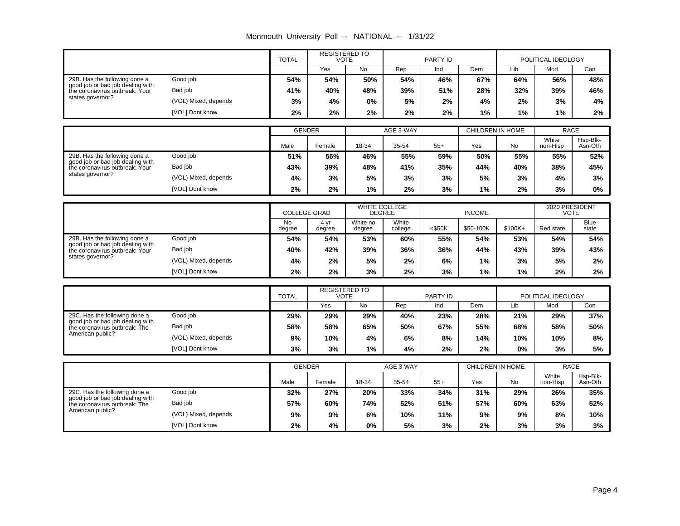|  |  |  | Monmouth University Poll -- NATIONAL -- | 1/31/22 |
|--|--|--|-----------------------------------------|---------|
|--|--|--|-----------------------------------------|---------|

|                                                                                        |                      | <b>REGISTERED TO</b><br><b>TOTAL</b><br><b>VOTE</b> |               |     | PARTY ID  |     | POLITICAL IDEOLOGY |     |             |     |
|----------------------------------------------------------------------------------------|----------------------|-----------------------------------------------------|---------------|-----|-----------|-----|--------------------|-----|-------------|-----|
|                                                                                        |                      |                                                     | Yes           | No  | Rep       | Ind | Dem                | Lib | Mod         | Con |
| 29B. Has the following done a                                                          | Good job             | 54%                                                 | 54%           | 50% | 54%       | 46% | 67%                | 64% | 56%         | 48% |
| good job or bad job dealing with<br>the coronavirus outbreak: Your<br>states governor? | Bad job              | 41%                                                 | 40%           | 48% | 39%       | 51% | 28%                | 32% | 39%         | 46% |
|                                                                                        | (VOL) Mixed, depends | 3%                                                  | 4%            | 0%  | 5%        | 2%  | 4%                 | 2%  | 3%          | 4%  |
|                                                                                        | [VOL] Dont know      | 2%                                                  | 2%            | 2%  | 2%        | 2%  | 1%                 | 1%  | 1%          | 2%  |
|                                                                                        |                      |                                                     |               |     |           |     |                    |     |             |     |
|                                                                                        |                      |                                                     | <b>GENDER</b> |     | AGE 3-WAY |     | CHILDREN IN HOME   |     | <b>RACE</b> |     |

|                                                                    |                      | <b>ULIVULIV</b> |        |       | AUL JWAI |       | <b>ULILLUNLIN IN LIUIVIL</b> |     | <b>INAVL</b>      |                     |
|--------------------------------------------------------------------|----------------------|-----------------|--------|-------|----------|-------|------------------------------|-----|-------------------|---------------------|
|                                                                    |                      | Male            | Female | 18-34 | 35-54    | $55+$ | Yes                          | No  | White<br>non-Hisp | Hsp-Blk-<br>Asn-Oth |
| 29B. Has the following done a                                      | Good job             | 51%             | 56%    | 46%   | 55%      | 59%   | 50%                          | 55% | 55%               | 52%                 |
| good job or bad job dealing with<br>the coronavirus outbreak: Your | Bad job              | 43%             | 39%    | 48%   | 41%      | 35%   | 44%                          | 40% | 38%               | 45%                 |
| states governor?                                                   | (VOL) Mixed, depends | 4%              | 3%     | 5%    | 3%       | 3%    | 5%                           | 3%  | 4%                | 3%                  |
|                                                                    | [VOL] Dont know      | 2%              | 2%     | $1\%$ | 2%       | 3%    | 1%                           | 2%  | 3%                | $0\%$               |

|                                                                                                     |                      | <b>COLLEGE GRAD</b> |                | <b>WHITE COLLEGE</b><br><b>DEGREE</b> |                  |           | <b>INCOME</b> |           | 2020 PRESIDENT<br><b>VOTE</b> |               |
|-----------------------------------------------------------------------------------------------------|----------------------|---------------------|----------------|---------------------------------------|------------------|-----------|---------------|-----------|-------------------------------|---------------|
|                                                                                                     |                      | No<br>degree        | 4 vr<br>degree | White no<br>degree                    | White<br>college | $<$ \$50K | \$50-100K     | $$100K +$ | Red state                     | Blue<br>state |
| 29B. Has the following done a<br>good job or bad job dealing with<br>the coronavirus outbreak: Your | Good job             | 54%                 | 54%            | 53%                                   | 60%              | 55%       | 54%           | 53%       | 54%                           | 54%           |
|                                                                                                     | Bad job              | 40%                 | 42%            | 39%                                   | 36%              | 36%       | 44%           | 43%       | 39%                           | 43%           |
| states governor?                                                                                    | (VOL) Mixed, depends | 4%                  | 2%             | 5%                                    | 2%               | 6%        | 1%            | 3%        | 5%                            | 2%            |
|                                                                                                     | [VOL] Dont know      | $2\%$               | 2%             | 3%                                    | 2%               | 3%        | 1%            | 1%        | 2%                            | 2%            |

|                                                                                                    |                      | <b>TOTAL</b> | <b>REGISTERED TO</b><br>VOTE |           |     | PARTY ID |     | POLITICAL IDEOLOGY |     |     |
|----------------------------------------------------------------------------------------------------|----------------------|--------------|------------------------------|-----------|-----|----------|-----|--------------------|-----|-----|
|                                                                                                    |                      |              | Yes                          | <b>No</b> | Rep | Ind      | Dem | Lib                | Mod | Con |
| 29C. Has the following done a<br>good job or bad job dealing with<br>the coronavirus outbreak: The | Good job             | 29%          | 29%                          | 29%       | 40% | 23%      | 28% | 21%                | 29% | 37% |
|                                                                                                    | Bad job              | 58%          | 58%                          | 65%       | 50% | 67%      | 55% | 68%                | 58% | 50% |
| American public?                                                                                   | (VOL) Mixed, depends | 9%           | 10%                          | 4%        | 6%  | 8%       | 14% | 10%                | 10% | 8%  |
|                                                                                                    | [VOL] Dont know      | 3%           | 3%                           | 1%        | 4%  | 2%       | 2%  | 0%                 | 3%  | 5%  |

|                                                                                                    |                      | <b>GENDER</b> |        |       | AGE 3-WAY |       |     | CHILDREN IN HOME | <b>RACE</b>       |                     |
|----------------------------------------------------------------------------------------------------|----------------------|---------------|--------|-------|-----------|-------|-----|------------------|-------------------|---------------------|
|                                                                                                    |                      | Male          | Female | 18-34 | 35-54     | $55+$ | Yes | No               | White<br>non-Hisp | Hsp-Blk-<br>Asn-Oth |
| 29C. Has the following done a<br>good job or bad job dealing with<br>the coronavirus outbreak: The | Good job             | 32%           | 27%    | 20%   | 33%       | 34%   | 31% | 29%              | 26%               | 35%                 |
|                                                                                                    | Bad job              | 57%           | 60%    | 74%   | 52%       | 51%   | 57% | 60%              | 63%               | 52%                 |
| American public?                                                                                   | (VOL) Mixed, depends | 9%            | 9%     | 6%    | 10%       | 11%   | 9%  | 9%               | 8%                | 10%                 |
|                                                                                                    | [VOL] Dont know      | $2\%$         | 4%     | $0\%$ | 5%        | 3%    | 2%  | 3%               | 3%                | 3%                  |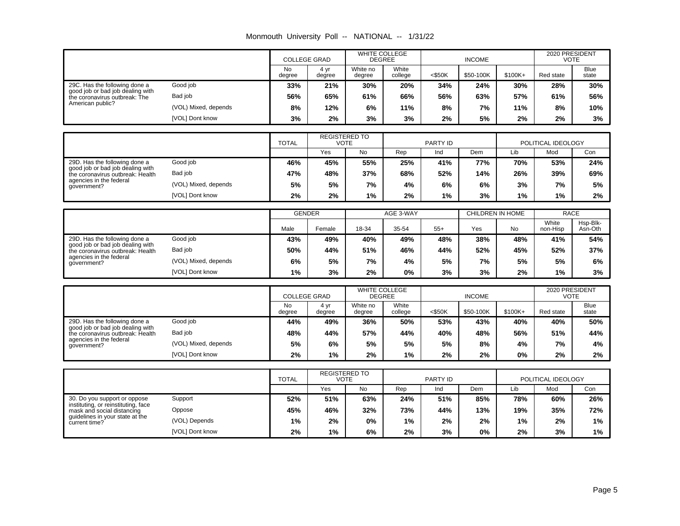| Monmouth University Poll -- |  | NATIONAL -- | 1/31/22 |
|-----------------------------|--|-------------|---------|
|-----------------------------|--|-------------|---------|

|                                                                                                    |                      |                     | <b>COLLEGE GRAD</b> |                    | <b>WHITE COLLEGE</b><br><b>DEGREE</b> |           | <b>INCOME</b> |          | 2020 PRESIDENT<br>VOTE |               |
|----------------------------------------------------------------------------------------------------|----------------------|---------------------|---------------------|--------------------|---------------------------------------|-----------|---------------|----------|------------------------|---------------|
|                                                                                                    |                      | <b>No</b><br>degree | 4 yr<br>degree      | White no<br>degree | White<br>college                      | $<$ \$50K | \$50-100K     | $$100K+$ | Red state              | Blue<br>state |
| 29C. Has the following done a<br>good job or bad job dealing with<br>the coronavirus outbreak: The | Good job             | 33%                 | 21%                 | 30%                | 20%                                   | 34%       | 24%           | 30%      | 28%                    | 30%           |
|                                                                                                    | Bad job              | 56%                 | 65%                 | 61%                | 66%                                   | 56%       | 63%           | 57%      | 61%                    | 56%           |
| American public?                                                                                   | (VOL) Mixed, depends | 8%                  | 12%                 | 6%                 | 11%                                   | 8%        | 7%            | 11%      | 8%                     | 10%           |
|                                                                                                    | [VOL] Dont know      | 3%                  | 2%                  | 3%                 | 3%                                    | 2%        | 5%            | 2%       | 2%                     | 3%            |

|                                                                      |                      | <b>TOTAL</b> | <b>REGISTERED TO</b><br>VOTE |     |     | PARTY ID |     | POLITICAL IDEOLOGY |     |     |
|----------------------------------------------------------------------|----------------------|--------------|------------------------------|-----|-----|----------|-----|--------------------|-----|-----|
|                                                                      |                      |              | Yes                          | No  | Rep | Ind      | Dem | Lib                | Mod | Con |
| 29D. Has the following done a                                        | Good job             | 46%          | 45%                          | 55% | 25% | 41%      | 77% | 70%                | 53% | 24% |
| good job or bad job dealing with<br>the coronavirus outbreak: Health | Bad job              | 47%          | 48%                          | 37% | 68% | 52%      | 14% | 26%                | 39% | 69% |
| agencies in the federal<br>government?                               | (VOL) Mixed, depends | 5%           | 5%                           | 7%  | 4%  | 6%       | 6%  | 3%                 | 7%  | 5%  |
|                                                                      | [VOL] Dont know      | $2\%$        | 2%                           | 1%  | 2%  | 1%       | 3%  | $1\%$              | 1%  | 2%  |

|                                                                                                                                                                                                |                 | <b>GENDER</b> |        | AGE 3-WAY |       |       | CHILDREN IN HOME |           | <b>RACE</b>       |                     |
|------------------------------------------------------------------------------------------------------------------------------------------------------------------------------------------------|-----------------|---------------|--------|-----------|-------|-------|------------------|-----------|-------------------|---------------------|
|                                                                                                                                                                                                |                 | Male          | Female | 18-34     | 35-54 | $55+$ | Yes              | <b>No</b> | White<br>non-Hisp | Hsp-Blk-<br>Asn-Oth |
| Good job<br>29D. Has the following done a<br>good job or bad job dealing with<br>Bad job<br>the coronavirus outbreak: Health<br>agencies in the federal<br>(VOL) Mixed, depends<br>government? |                 | 43%           | 49%    | 40%       | 49%   | 48%   | 38%              | 48%       | 41%               | 54%                 |
|                                                                                                                                                                                                |                 | 50%           | 44%    | 51%       | 46%   | 44%   | 52%              | 45%       | 52%               | 37%                 |
|                                                                                                                                                                                                |                 | 6%            | 5%     | 7%        | 4%    | 5%    | 7%               | 5%        | 5%                | 6%                  |
|                                                                                                                                                                                                | [VOL] Dont know | 1%            | 3%     | 2%        | 0%    | 3%    | 3%               | 2%        | 1%                | 3%                  |

|                                                                                                                              |                      | <b>COLLEGE GRAD</b> |                | <b>WHITE COLLEGE</b><br><b>DEGREE</b> |                  | <b>INCOME</b> |           |           | 2020 PRESIDENT<br><b>VOTE</b> |                      |
|------------------------------------------------------------------------------------------------------------------------------|----------------------|---------------------|----------------|---------------------------------------|------------------|---------------|-----------|-----------|-------------------------------|----------------------|
|                                                                                                                              |                      | No<br>degree        | 4 vr<br>degree | White no<br>degree                    | White<br>college | $<$ \$50K     | \$50-100K | $$100K +$ | Red state                     | <b>Blue</b><br>state |
| Good job<br>29D. Has the following done a<br>good job or bad job dealing with<br>Bad job<br>the coronavirus outbreak: Health |                      | 44%                 | 49%            | 36%                                   | 50%              | 53%           | 43%       | 40%       | 40%                           | 50%                  |
|                                                                                                                              |                      | 48%                 | 44%            | 57%                                   | 44%              | 40%           | 48%       | 56%       | 51%                           | 44%                  |
| agencies in the federal<br>qovernment?                                                                                       | (VOL) Mixed, depends | 5%                  | 6%             | 5%                                    | 5%               | 5%            | 8%        | 4%        | 7%                            | 4%                   |
|                                                                                                                              | [VOL] Dont know      | 2%                  | $1\%$          | 2%                                    | $1\%$            | 2%            | 2%        | 0%        | 2%                            | 2%                   |

|                                                                                                                        |                 | <b>TOTAL</b> | <b>REGISTERED TO</b><br>VOTE |     | PARTY ID |     |     | POLITICAL IDEOLOGY |     |     |
|------------------------------------------------------------------------------------------------------------------------|-----------------|--------------|------------------------------|-----|----------|-----|-----|--------------------|-----|-----|
|                                                                                                                        |                 |              | Yes                          | No  | Rep      | Ind | Dem | Lib                | Mod | Con |
| Support<br>30. Do you support or oppose<br>instituting, or reinstituting, face<br>Oppose<br>mask and social distancing |                 | 52%          | 51%                          | 63% | 24%      | 51% | 85% | 78%                | 60% | 26% |
|                                                                                                                        |                 | 45%          | 46%                          | 32% | 73%      | 44% | 13% | 19%                | 35% | 72% |
| guidelines in your state at the<br>current time?                                                                       | (VOL) Depends   | 1%           | 2%                           | 0%  | $1\%$    | 2%  | 2%  | 1%                 | 2%  | 1%  |
|                                                                                                                        | [VOL] Dont know | $2\%$        | 1%                           | 6%  | 2%       | 3%  | 0%  | 2%                 | 3%  | 1%  |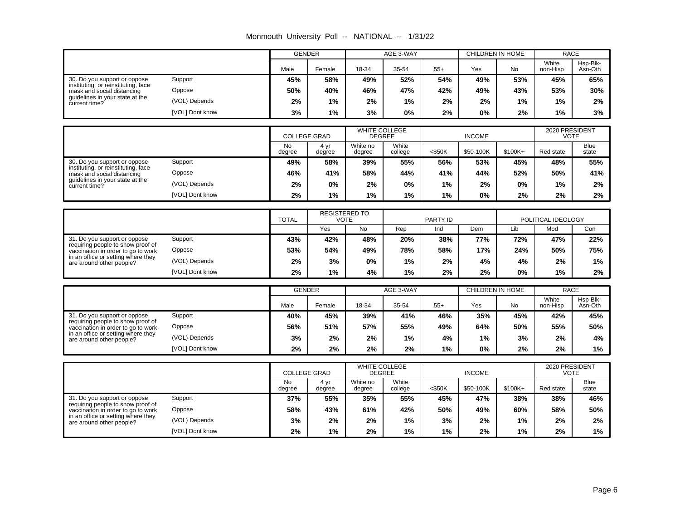| Monmouth University Poll -- NATIONAL -- |  |  | 1/31/22 |
|-----------------------------------------|--|--|---------|
|-----------------------------------------|--|--|---------|

|                                                                                                         |                 | <b>GENDER</b>       |                                     |                                       | AGE 3-WAY        |                         | <b>CHILDREN IN HOME</b> |           | <b>RACE</b>                   |                      |
|---------------------------------------------------------------------------------------------------------|-----------------|---------------------|-------------------------------------|---------------------------------------|------------------|-------------------------|-------------------------|-----------|-------------------------------|----------------------|
|                                                                                                         |                 | Male                | Female                              | 18-34                                 | 35-54            | $55+$                   | Yes                     | No        | White<br>non-Hisp             | Hsp-Blk-<br>Asn-Oth  |
| 30. Do you support or oppose<br>instituting, or reinstituting, face                                     | Support         | 45%                 | 58%                                 | 49%                                   | 52%              | 54%                     | 49%                     | 53%       | 45%                           | 65%                  |
| mask and social distancing                                                                              | Oppose          | 50%                 | 40%                                 | 46%                                   | 47%              | 42%                     | 49%                     | 43%       | 53%                           | 30%                  |
| guidelines in your state at the<br>current time?                                                        | (VOL) Depends   | 2%                  | 1%                                  | 2%                                    | 1%               | 2%                      | 2%                      | 1%        | 1%                            | 2%                   |
|                                                                                                         | [VOL] Dont know | 3%                  | 1%                                  | 3%                                    | 0%               | 2%                      | 0%                      | 2%        | 1%                            | 3%                   |
|                                                                                                         |                 |                     |                                     |                                       |                  |                         |                         |           |                               |                      |
|                                                                                                         |                 | <b>COLLEGE GRAD</b> |                                     | WHITE COLLEGE<br><b>DEGREE</b>        |                  |                         | <b>INCOME</b>           |           | 2020 PRESIDENT<br><b>VOTE</b> |                      |
|                                                                                                         |                 | <b>No</b><br>degree | 4 yr<br>degree                      | White no<br>degree                    | White<br>college | $<$ \$50K               | \$50-100K               | \$100K+   | Red state                     | Blue<br>state        |
| 30. Do you support or oppose                                                                            | Support         | 49%                 | 58%                                 | 39%                                   | 55%              | 56%                     | 53%                     | 45%       | 48%                           | 55%                  |
| instituting, or reinstituting, face<br>mask and social distancing                                       | Oppose          | 46%                 | 41%                                 | 58%                                   | 44%              | 41%                     | 44%                     | 52%       | 50%                           | 41%                  |
| guidelines in your state at the<br>current time?                                                        | (VOL) Depends   | 2%                  | 0%                                  | 2%                                    | 0%               | 1%                      | 2%                      | 0%        | 1%                            | 2%                   |
|                                                                                                         | [VOL] Dont know | 2%                  | 1%                                  | 1%                                    | 1%               | 1%                      | 0%                      | 2%        | 2%                            | 2%                   |
|                                                                                                         |                 |                     |                                     |                                       |                  |                         |                         |           |                               |                      |
|                                                                                                         |                 | <b>TOTAL</b>        | <b>REGISTERED TO</b><br><b>VOTE</b> |                                       |                  | <b>PARTY ID</b>         |                         |           | POLITICAL IDEOLOGY            |                      |
|                                                                                                         |                 |                     | Yes                                 | <b>No</b>                             | Rep              | Ind                     | Dem                     | Lib       | Mod                           | Con                  |
| 31. Do you support or oppose<br>requiring people to show proof of<br>vaccination in order to go to work | Support         | 43%                 | 42%                                 | 48%                                   | 20%              | 38%                     | 77%                     | 72%       | 47%                           | 22%                  |
|                                                                                                         | Oppose          | 53%                 | 54%                                 | 49%                                   | 78%              | 58%                     | 17%                     | 24%       | 50%                           | 75%                  |
| in an office or setting where they<br>are around other people?                                          | (VOL) Depends   | 2%                  | 3%                                  | 0%                                    | 1%               | 2%                      | 4%                      | 4%        | 2%                            | 1%                   |
|                                                                                                         | [VOL] Dont know | 2%                  | 1%                                  | 4%                                    | 1%               | 2%                      | 2%                      | 0%        | 1%                            | 2%                   |
|                                                                                                         |                 | <b>GENDER</b>       |                                     |                                       |                  | <b>CHILDREN IN HOME</b> |                         |           | <b>RACE</b>                   |                      |
|                                                                                                         |                 |                     |                                     |                                       | AGE 3-WAY        |                         |                         |           | White                         | Hsp-Blk-             |
|                                                                                                         |                 | Male                | Female                              | 18-34                                 | 35-54            | $55+$                   | Yes                     | <b>No</b> | non-Hisp                      | Asn-Oth              |
| 31. Do you support or oppose<br>requiring people to show proof of                                       | Support         | 40%                 | 45%                                 | 39%                                   | 41%              | 46%                     | 35%                     | 45%       | 42%                           | 45%                  |
| vaccination in order to go to work                                                                      | Oppose          | 56%                 | 51%                                 | 57%                                   | 55%              | 49%                     | 64%                     | 50%       | 55%                           | 50%                  |
| in an office or setting where they<br>are around other people?                                          | (VOL) Depends   | 3%                  | 2%                                  | 2%                                    | 1%               | 4%                      | 1%                      | 3%        | 2%                            | 4%                   |
|                                                                                                         | [VOL] Dont know | 2%                  | 2%                                  | 2%                                    | 2%               | 1%                      | 0%                      | 2%        | 2%                            | $1\%$                |
|                                                                                                         |                 |                     |                                     |                                       |                  |                         |                         |           |                               |                      |
|                                                                                                         |                 | <b>COLLEGE GRAD</b> |                                     | <b>WHITE COLLEGE</b><br><b>DEGREE</b> |                  |                         | <b>INCOME</b>           |           | 2020 PRESIDENT<br><b>VOTE</b> |                      |
|                                                                                                         |                 | <b>No</b><br>degree | 4 yr<br>degree                      | White no<br>degree                    | White<br>college | $<$ \$50K               | \$50-100K               | \$100K+   | Red state                     | <b>Blue</b><br>state |
| 31. Do you support or oppose<br>requiring people to show proof of                                       | Support         | 37%                 | 55%                                 | 35%                                   | 55%              | 45%                     | 47%                     | 38%       | 38%                           | 46%                  |
| vaccination in order to go to work<br>in an office or setting where they                                | Oppose          | 58%                 | 43%                                 | 61%                                   | 42%              | 50%                     | 49%                     | 60%       | 58%                           | 50%                  |
| are around other people?                                                                                | (VOL) Depends   | 3%                  | 2%                                  | 2%                                    | 1%               | 3%                      | 2%                      | 1%        | 2%                            | 2%                   |
|                                                                                                         | [VOL] Dont know | 2%                  | 1%                                  | 2%                                    | 1%               | 1%                      | 2%                      | 1%        | 2%                            | 1%                   |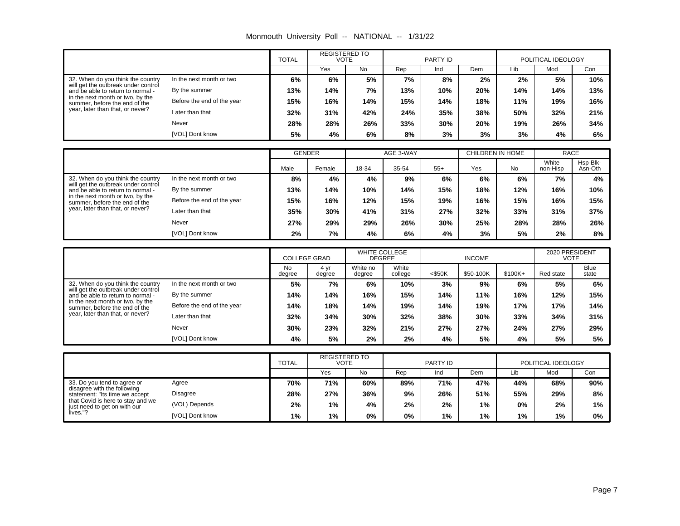| Monmouth University Poll -- |  | NATIONAL -- | 1/31/22 |
|-----------------------------|--|-------------|---------|
|-----------------------------|--|-------------|---------|

|                                                                                                                                                                                                                                                                                                                               |                 | <b>REGISTERED TO</b><br><b>TOTAL</b><br><b>VOTE</b> |     | PARTY ID |     |     | POLITICAL IDEOLOGY |     |     |     |
|-------------------------------------------------------------------------------------------------------------------------------------------------------------------------------------------------------------------------------------------------------------------------------------------------------------------------------|-----------------|-----------------------------------------------------|-----|----------|-----|-----|--------------------|-----|-----|-----|
|                                                                                                                                                                                                                                                                                                                               |                 |                                                     | Yes | No       | Rep | Ind | Dem                | Lib | Mod | Con |
| 32. When do you think the country<br>In the next month or two<br>will get the outbreak under control<br>By the summer<br>and be able to return to normal -<br>in the next month or two, by the<br>Before the end of the year<br>summer, before the end of the<br>year, later than that, or never?<br>Later than that<br>Never |                 | 6%                                                  | 6%  | 5%       | 7%  | 8%  | 2%                 | 2%  | 5%  | 10% |
|                                                                                                                                                                                                                                                                                                                               |                 | 13%                                                 | 14% | 7%       | 13% | 10% | 20%                | 14% | 14% | 13% |
|                                                                                                                                                                                                                                                                                                                               |                 | 15%                                                 | 16% | 14%      | 15% | 14% | 18%                | 11% | 19% | 16% |
|                                                                                                                                                                                                                                                                                                                               |                 | 32%                                                 | 31% | 42%      | 24% | 35% | 38%                | 50% | 32% | 21% |
|                                                                                                                                                                                                                                                                                                                               |                 | 28%                                                 | 28% | 26%      | 33% | 30% | 20%                | 19% | 26% | 34% |
|                                                                                                                                                                                                                                                                                                                               | [VOL] Dont know | 5%                                                  | 4%  | 6%       | 8%  | 3%  | 3%                 | 3%  | 4%  | 6%  |

|                                                                                                                                               |                            | <b>GENDER</b> |        | AGE 3-WAY |       |       | CHILDREN IN HOME |     | <b>RACE</b>       |                     |
|-----------------------------------------------------------------------------------------------------------------------------------------------|----------------------------|---------------|--------|-----------|-------|-------|------------------|-----|-------------------|---------------------|
|                                                                                                                                               |                            | Male          | Female | 18-34     | 35-54 | $55+$ | Yes              | No  | White<br>non-Hisp | Hsp-Blk-<br>Asn-Oth |
| 32. When do you think the country                                                                                                             | In the next month or two   | 8%            | 4%     | 4%        | 9%    | 6%    | 6%               | 6%  | 7%                | 4%                  |
| will get the outbreak under control<br>and be able to return to normal -<br>in the next month or two, by the<br>summer, before the end of the | By the summer              | 13%           | 14%    | 10%       | 14%   | 15%   | 18%              | 12% | 16%               | 10%                 |
|                                                                                                                                               | Before the end of the year | 15%           | 16%    | 12%       | 15%   | 19%   | 16%              | 15% | 16%               | 15%                 |
| year, later than that, or never?                                                                                                              | Later than that            | 35%           | 30%    | 41%       | 31%   | 27%   | 32%              | 33% | 31%               | 37%                 |
|                                                                                                                                               | Never                      | 27%           | 29%    | 29%       | 26%   | 30%   | 25%              | 28% | 28%               | 26%                 |
|                                                                                                                                               | [VOL] Dont know            | 2%            | 7%     | 4%        | 6%    | 4%    | 3%               | 5%  | 2%                | 8%                  |

|                                                                          |                            | <b>COLLEGE GRAD</b> |                | <b>WHITE COLLEGE</b><br><b>DEGREE</b> |                  | <b>INCOME</b> |           |          | 2020 PRESIDENT<br>VOTE |                      |
|--------------------------------------------------------------------------|----------------------------|---------------------|----------------|---------------------------------------|------------------|---------------|-----------|----------|------------------------|----------------------|
|                                                                          |                            | No<br>degree        | 4 vr<br>degree | White no<br>degree                    | White<br>college | $<$ \$50K     | \$50-100K | $$100K+$ | Red state              | <b>Blue</b><br>state |
| 32. When do you think the country                                        | In the next month or two   | 5%                  | 7%             | 6%                                    | 10%              | 3%            | 9%        | 6%       | 5%                     | 6%                   |
| will get the outbreak under control<br>and be able to return to normal - | By the summer              | 14%                 | 14%            | 16%                                   | 15%              | 14%           | 11%       | 16%      | 12%                    | 15%                  |
| in the next month or two, by the<br>summer, before the end of the        | Before the end of the year | 14%                 | 18%            | 14%                                   | 19%              | 14%           | 19%       | 17%      | 17%                    | 14%                  |
| year, later than that, or never?                                         | Later than that            | 32%                 | 34%            | 30%                                   | 32%              | 38%           | 30%       | 33%      | 34%                    | 31%                  |
|                                                                          | Never                      | 30%                 | 23%            | 32%                                   | 21%              | 27%           | 27%       | 24%      | 27%                    | 29%                  |
|                                                                          | [VOL] Dont know            | 4%                  | 5%             | 2%                                    | 2%               | 4%            | 5%        | 4%       | 5%                     | 5%                   |

|                                                                                                                                                                                                                                        | <b>REGISTERED TO</b><br><b>TOTAL</b><br><b>VOTE</b> |     | PARTY ID |     |     | POLITICAL IDEOLOGY |       |     |       |
|----------------------------------------------------------------------------------------------------------------------------------------------------------------------------------------------------------------------------------------|-----------------------------------------------------|-----|----------|-----|-----|--------------------|-------|-----|-------|
|                                                                                                                                                                                                                                        |                                                     | Yes | No       | Rep | Ind | Dem                | Lib   | Mod | Con   |
| 33. Do you tend to agree or<br>Agree<br>disagree with the following<br>Disagree<br>statement: "Its time we accept<br>that Covid is here to stay and we<br>(VOL) Depends<br>just need to get on with our<br>lives."?<br>[VOL] Dont know | 70%                                                 | 71% | 60%      | 89% | 71% | 47%                | 44%   | 68% | 90%   |
|                                                                                                                                                                                                                                        | 28%                                                 | 27% | 36%      | 9%  | 26% | 51%                | 55%   | 29% | 8%    |
|                                                                                                                                                                                                                                        | 2%                                                  | 1%  | 4%       | 2%  | 2%  | $1\%$              | 0%    | 2%  | $1\%$ |
|                                                                                                                                                                                                                                        | 1%                                                  | 1%  | 0%       | 0%  | 1%  | 1%                 | $1\%$ | 1%  | 0%    |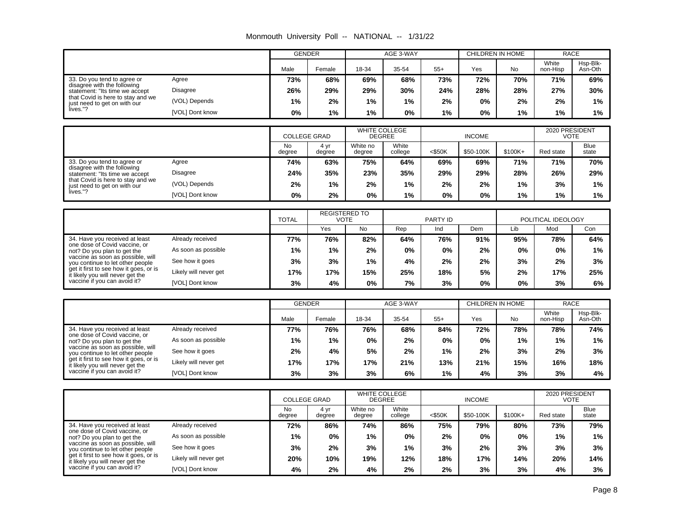| Monmouth University Poll -- |  | NATIONAL -- | 1/31/22 |
|-----------------------------|--|-------------|---------|
|-----------------------------|--|-------------|---------|

|                                                                                                                                                                                                         |                 | <b>GENDER</b> |        | AGE 3-WAY |       | CHILDREN IN HOME |     | <b>RACE</b> |                   |                     |
|---------------------------------------------------------------------------------------------------------------------------------------------------------------------------------------------------------|-----------------|---------------|--------|-----------|-------|------------------|-----|-------------|-------------------|---------------------|
|                                                                                                                                                                                                         |                 | Male          | Female | 18-34     | 35-54 | $55+$            | Yes | <b>No</b>   | White<br>non-Hisp | Hsp-Blk-<br>Asn-Oth |
| 33. Do you tend to agree or<br>Agree<br>disagree with the following<br>Disagree<br>statement: "Its time we accept<br>that Covid is here to stay and we<br>(VOL) Depends<br>just need to get on with our |                 | 73%           | 68%    | 69%       | 68%   | 73%              | 72% | 70%         | 71%               | 69%                 |
|                                                                                                                                                                                                         |                 | 26%           | 29%    | 29%       | 30%   | 24%              | 28% | 28%         | 27%               | 30%                 |
|                                                                                                                                                                                                         |                 | $1\%$         | 2%     | 1%        | 1%    | 2%               | 0%  | 2%          | 2%                | 1%                  |
| lives."?                                                                                                                                                                                                | [VOL] Dont know | 0%            | $1\%$  | 1%        | 0%    | 1%               | 0%  | 1%          | 1%                | $1\%$               |

|                                                                   |                 | <b>COLLEGE GRAD</b> |                | <b>WHITE COLLEGE</b><br><b>DEGREE</b> |                  | <b>INCOME</b> |           |          | 2020 PRESIDENT<br>VOTE |                      |
|-------------------------------------------------------------------|-----------------|---------------------|----------------|---------------------------------------|------------------|---------------|-----------|----------|------------------------|----------------------|
|                                                                   |                 | <b>No</b><br>degree | 4 vr<br>degree | White no<br>degree                    | White<br>college | $<$ \$50K     | \$50-100K | $$100K+$ | Red state              | <b>Blue</b><br>state |
| 33. Do you tend to agree or                                       | Agree           | 74%                 | 63%            | 75%                                   | 64%              | 69%           | 69%       | 71%      | 71%                    | 70%                  |
| disagree with the following<br>statement: "Its time we accept     | <b>Disagree</b> | 24%                 | 35%            | 23%                                   | 35%              | 29%           | 29%       | 28%      | 26%                    | 29%                  |
| that Covid is here to stay and we<br>just need to get on with our | (VOL) Depends   | 2%                  | $1\%$          | 2%                                    | $1\%$            | 2%            | 2%        | 1%       | 3%                     | 1%                   |
| lives."?                                                          | [VOL] Dont know | 0%                  | 2%             | 0%                                    | $1\%$            | 0%            | 0%        | 1%       | 1%                     | 1%                   |

|                                                                                                            |                       | <b>TOTAL</b> | <b>REGISTERED TO</b><br><b>VOTE</b> |     | PARTY ID |     |     | POLITICAL IDEOLOGY |     |     |
|------------------------------------------------------------------------------------------------------------|-----------------------|--------------|-------------------------------------|-----|----------|-----|-----|--------------------|-----|-----|
|                                                                                                            |                       |              | Yes                                 | No  | Rep      | Ind | Dem | Lib                | Mod | Con |
| 34. Have you received at least<br>one dose of Covid vaccine, or<br>not? Do you plan to get the             | Already received      | 77%          | 76%                                 | 82% | 64%      | 76% | 91% | 95%                | 78% | 64% |
|                                                                                                            | As soon as possible   | $1\%$        | $1\%$                               | 2%  | 0%       | 0%  | 2%  | 0%                 | 0%  | 1%  |
| vaccine as soon as possible, will<br>you continue to let other people                                      | See how it goes       | 3%           | 3%                                  | 1%  | 4%       | 2%  | 2%  | 3%                 | 2%  | 3%  |
| get it first to see how it goes, or is<br>it likely you will never get the<br>vaccine if you can avoid it? | Likely will never get | 17%          | 17%                                 | 15% | 25%      | 18% | 5%  | 2%                 | 17% | 25% |
|                                                                                                            | [VOL] Dont know       | 3%           | 4%                                  | 0%  | 7%       | 3%  | 0%  | 0%                 | 3%  | 6%  |

|                                                                                                                                                                                                                                                                                       |                       | <b>GENDER</b> |        | AGE 3-WAY |       |       | CHILDREN IN HOME |           | <b>RACE</b>       |                     |
|---------------------------------------------------------------------------------------------------------------------------------------------------------------------------------------------------------------------------------------------------------------------------------------|-----------------------|---------------|--------|-----------|-------|-------|------------------|-----------|-------------------|---------------------|
|                                                                                                                                                                                                                                                                                       |                       | Male          | Female | 18-34     | 35-54 | $55+$ | Yes              | <b>No</b> | White<br>non-Hisp | Hsp-Blk-<br>Asn-Oth |
| 34. Have you received at least<br>one dose of Covid vaccine, or<br>not? Do you plan to get the<br>vaccine as soon as possible, will<br>you continue to let other people<br>get it first to see how it goes, or is<br>it likely you will never get the<br>vaccine if you can avoid it? | Already received      | 77%           | 76%    | 76%       | 68%   | 84%   | 72%              | 78%       | 78%               | 74%                 |
|                                                                                                                                                                                                                                                                                       | As soon as possible   | 1%            | 1%     | 0%        | 2%    | 0%    | 0%               | 1%        | 1%                | 1%                  |
|                                                                                                                                                                                                                                                                                       | See how it goes       | 2%            | 4%     | 5%        | 2%    | 1%    | 2%               | 3%        | 2%                | 3%                  |
|                                                                                                                                                                                                                                                                                       | Likely will never get | 17%           | 17%    | 17%       | 21%   | 13%   | 21%              | 15%       | 16%               | 18%                 |
|                                                                                                                                                                                                                                                                                       | [VOL] Dont know       | 3%            | 3%     | 3%        | 6%    | 1%    | 4%               | 3%        | 3%                | 4%                  |

|                                                                                                            |                       | <b>COLLEGE GRAD</b> |                | <b>WHITE COLLEGE</b><br><b>DEGREE</b> |                  | <b>INCOME</b> |           |           | 2020 PRESIDENT<br>VOTE |                      |
|------------------------------------------------------------------------------------------------------------|-----------------------|---------------------|----------------|---------------------------------------|------------------|---------------|-----------|-----------|------------------------|----------------------|
|                                                                                                            |                       | <b>No</b><br>degree | 4 vr<br>degree | White no<br>degree                    | White<br>college | $<$ \$50K     | \$50-100K | $$100K +$ | Red state              | <b>Blue</b><br>state |
| 34. Have you received at least                                                                             | Already received      | 72%                 | 86%            | 74%                                   | 86%              | 75%           | 79%       | 80%       | 73%                    | 79%                  |
| one dose of Covid vaccine, or<br>not? Do you plan to get the                                               | As soon as possible   | 1%                  | $0\%$          | $1\%$                                 | $0\%$            | 2%            | $0\%$     | 0%        | 1%                     | 1%                   |
| vaccine as soon as possible, will<br>you continue to let other people                                      | See how it goes       | 3%                  | 2%             | 3%                                    | 1%               | 3%            | 2%        | 3%        | 3%                     | 3%                   |
| get it first to see how it goes, or is<br>it likely you will never get the<br>vaccine if you can avoid it? | Likely will never get | 20%                 | 10%            | 19%                                   | 12%              | 18%           | 17%       | 14%       | 20%                    | 14%                  |
|                                                                                                            | [VOL] Dont know       | 4%                  | 2%             | 4%                                    | 2%               | 2%            | 3%        | 3%        | 4%                     | 3%                   |